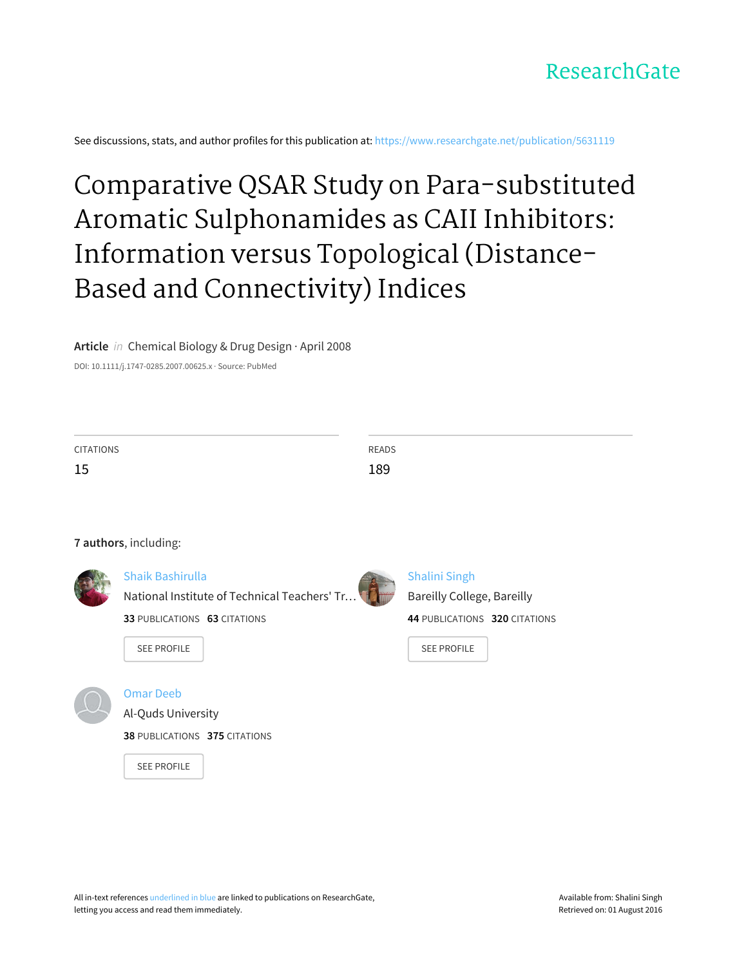

See discussions, stats, and author profiles for this publication at: [https://www.researchgate.net/publication/5631119](https://www.researchgate.net/publication/5631119_Comparative_QSAR_Study_on_Para-substituted_Aromatic_Sulphonamides_as_CAII_Inhibitors_Information_versus_Topological_Distance-Based_and_Connectivity_Indices?enrichId=rgreq-2e58187b44d4a6fad8f9fd10e35afe98-XXX&enrichSource=Y292ZXJQYWdlOzU2MzExMTk7QVM6OTk0NjAxNjQwOTYwMTNAMTQwMDcyNDU1OTczMA%3D%3D&el=1_x_2)

# Comparative QSAR Study on [Para‐substituted](https://www.researchgate.net/publication/5631119_Comparative_QSAR_Study_on_Para-substituted_Aromatic_Sulphonamides_as_CAII_Inhibitors_Information_versus_Topological_Distance-Based_and_Connectivity_Indices?enrichId=rgreq-2e58187b44d4a6fad8f9fd10e35afe98-XXX&enrichSource=Y292ZXJQYWdlOzU2MzExMTk7QVM6OTk0NjAxNjQwOTYwMTNAMTQwMDcyNDU1OTczMA%3D%3D&el=1_x_3) Aromatic Sulphonamides as CAII Inhibitors: Information versus Topological (Distance‐ Based and Connectivity) Indices

**Article** in Chemical Biology & Drug Design · April 2008

DOI: 10.1111/j.1747-0285.2007.00625.x · Source: PubMed

| <b>CITATIONS</b> | READS       |
|------------------|-------------|
| 15<br>ن 1        | 1.90<br>TOS |

#### **7 authors**, including:



# Shaik [Bashirulla](https://www.researchgate.net/profile/Shaik_Bashirulla?enrichId=rgreq-2e58187b44d4a6fad8f9fd10e35afe98-XXX&enrichSource=Y292ZXJQYWdlOzU2MzExMTk7QVM6OTk0NjAxNjQwOTYwMTNAMTQwMDcyNDU1OTczMA%3D%3D&el=1_x_5)



# [Shalini](https://www.researchgate.net/profile/Shalini_Singh13?enrichId=rgreq-2e58187b44d4a6fad8f9fd10e35afe98-XXX&enrichSource=Y292ZXJQYWdlOzU2MzExMTk7QVM6OTk0NjAxNjQwOTYwMTNAMTQwMDcyNDU1OTczMA%3D%3D&el=1_x_5) Singh Bareilly [College,](https://www.researchgate.net/institution/Bareilly_College_Bareilly?enrichId=rgreq-2e58187b44d4a6fad8f9fd10e35afe98-XXX&enrichSource=Y292ZXJQYWdlOzU2MzExMTk7QVM6OTk0NjAxNjQwOTYwMTNAMTQwMDcyNDU1OTczMA%3D%3D&el=1_x_6) Bareilly **44** PUBLICATIONS **320** CITATIONS

SEE [PROFILE](https://www.researchgate.net/profile/Shalini_Singh13?enrichId=rgreq-2e58187b44d4a6fad8f9fd10e35afe98-XXX&enrichSource=Y292ZXJQYWdlOzU2MzExMTk7QVM6OTk0NjAxNjQwOTYwMTNAMTQwMDcyNDU1OTczMA%3D%3D&el=1_x_7)

## [Omar](https://www.researchgate.net/profile/Omar_Deeb2?enrichId=rgreq-2e58187b44d4a6fad8f9fd10e35afe98-XXX&enrichSource=Y292ZXJQYWdlOzU2MzExMTk7QVM6OTk0NjAxNjQwOTYwMTNAMTQwMDcyNDU1OTczMA%3D%3D&el=1_x_5) Deeb

SEE [PROFILE](https://www.researchgate.net/profile/Shaik_Bashirulla?enrichId=rgreq-2e58187b44d4a6fad8f9fd10e35afe98-XXX&enrichSource=Y292ZXJQYWdlOzU2MzExMTk7QVM6OTk0NjAxNjQwOTYwMTNAMTQwMDcyNDU1OTczMA%3D%3D&el=1_x_7)

Al-Quds [University](https://www.researchgate.net/institution/Al-Quds_University?enrichId=rgreq-2e58187b44d4a6fad8f9fd10e35afe98-XXX&enrichSource=Y292ZXJQYWdlOzU2MzExMTk7QVM6OTk0NjAxNjQwOTYwMTNAMTQwMDcyNDU1OTczMA%3D%3D&el=1_x_6)

**38** PUBLICATIONS **375** CITATIONS

**33** PUBLICATIONS **63** CITATIONS

SEE [PROFILE](https://www.researchgate.net/profile/Omar_Deeb2?enrichId=rgreq-2e58187b44d4a6fad8f9fd10e35afe98-XXX&enrichSource=Y292ZXJQYWdlOzU2MzExMTk7QVM6OTk0NjAxNjQwOTYwMTNAMTQwMDcyNDU1OTczMA%3D%3D&el=1_x_7)

All in-text references underlined in blue are linked to publications on ResearchGate, letting you access and read them immediately.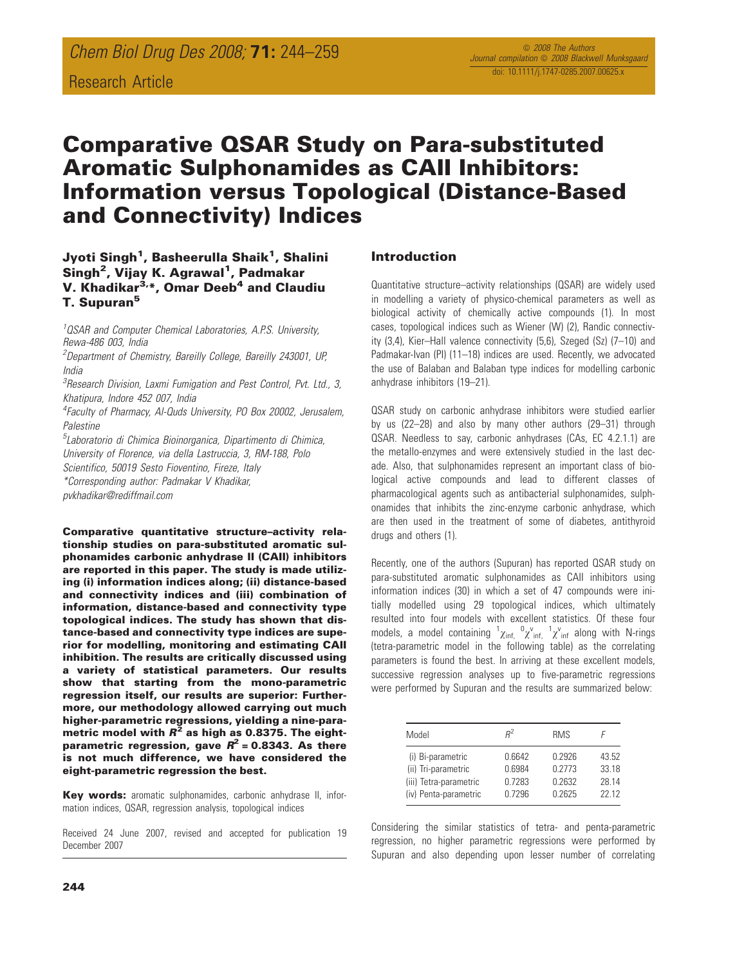# Comparative QSAR Study on Para-substituted Aromatic Sulphonamides as CAII Inhibitors: Information versus Topological (Distance-Based and Connectivity) Indices

## Jyoti Singh<sup>1</sup>, Basheerulla Shaik<sup>1</sup>, Shalini Singh<sup>2</sup>, Vijay K. Agrawal<sup>1</sup>, Padmakar V. Khadikar<sup>3,\*</sup>, Omar Deeb<sup>4</sup> and Claudiu **T. Supuran<sup>5</sup>**

<sup>1</sup> OSAR and Computer Chemical Laboratories, A.P.S. University, Rewa-486 003, India

<sup>2</sup>Department of Chemistry, Bareilly College, Bareilly 243001, UP, India

<sup>3</sup> Research Division, Laxmi Fumigation and Pest Control, Pvt. Ltd., 3, Khatipura, Indore 452 007, India

4 Faculty of Pharmacy, Al-Quds University, PO Box 20002, Jerusalem, **Palestine** 

5 Laboratorio di Chimica Bioinorganica, Dipartimento di Chimica, University of Florence, via della Lastruccia, 3, RM-188, Polo

Scientifico, 50019 Sesto Fioventino, Fireze, Italy

\*Corresponding author: Padmakar V Khadikar,

pvkhadikar@rediffmail.com

Comparative quantitative structure–activity relationship studies on para-substituted aromatic sulphonamides carbonic anhydrase II (CAII) inhibitors are reported in this paper. The study is made utilizing (i) information indices along; (ii) distance-based and connectivity indices and (iii) combination of information, distance-based and connectivity type topological indices. The study has shown that distance-based and connectivity type indices are superior for modelling, monitoring and estimating CAII inhibition. The results are critically discussed using a variety of statistical parameters. Our results show that starting from the mono-parametric regression itself, our results are superior: Furthermore, our methodology allowed carrying out much higher-parametric regressions, yielding a nine-parametric model with  $R^2$  as high as 0.8375. The eightparametric regression, gave  $R^2$  = 0.8343. As there is not much difference, we have considered the eight-parametric regression the best.

Key words: aromatic sulphonamides, carbonic anhydrase II, information indices, QSAR, regression analysis, topological indices

Received 24 June 2007, revised and accepted for publication 19 December 2007

#### Introduction

Quantitative structure–activity relationships (QSAR) are widely used in modelling a variety of physico-chemical parameters as well as biological activity of chemically active compounds (1). In most cases, topological indices such as Wiener (W) (2), Randic connectivity (3,4), Kier–Hall valence connectivity (5,6), Szeged (Sz) (7–10) and Padmakar-Ivan (PI) (11–18) indices are used. Recently, we advocated the use of Balaban and Balaban type indices for modelling carbonic anhydrase inhibitors (19–21).

QSAR study on carbonic anhydrase inhibitors were studied earlier by us (22–28) and also by many other authors (29–31) through QSAR. Needless to say, carbonic anhydrases (CAs, EC 4.2.1.1) are the metallo-enzymes and were extensively studied in the last decade. Also, that sulphonamides represent an important class of biological active compounds and lead to different classes of pharmacological agents such as antibacterial sulphonamides, sulphonamides that inhibits the zinc-enzyme carbonic anhydrase, which are then used in the treatment of some of diabetes, antithyroid drugs and others (1).

Recently, one of the authors (Supuran) has reported QSAR study on para-substituted aromatic sulphonamides as CAII inhibitors using information indices (30) in which a set of 47 compounds were initially modelled using 29 topological indices, which ultimately resulted into four models with excellent statistics. Of these four models, a model containing  ${}^1\chi_{inf}$ ,  ${}^0\chi_{inf}$ ,  ${}^1\chi_{inf}$  along with N-rings (tetra-parametric model in the following table) as the correlating parameters is found the best. In arriving at these excellent models, successive regression analyses up to five-parametric regressions were performed by Supuran and the results are summarized below:

| Model                  | $R^2$  | <b>RMS</b> |       |
|------------------------|--------|------------|-------|
| (i) Bi-parametric      | 0.6642 | 0.2926     | 43.52 |
| (ii) Tri-parametric    | 0.6984 | 0 2773     | 33 18 |
| (iii) Tetra-parametric | 0.7283 | 0.2632     | 28 14 |
| (iv) Penta-parametric  | 0.7296 | 0 2625     | 22 12 |

Considering the similar statistics of tetra- and penta-parametric regression, no higher parametric regressions were performed by Supuran and also depending upon lesser number of correlating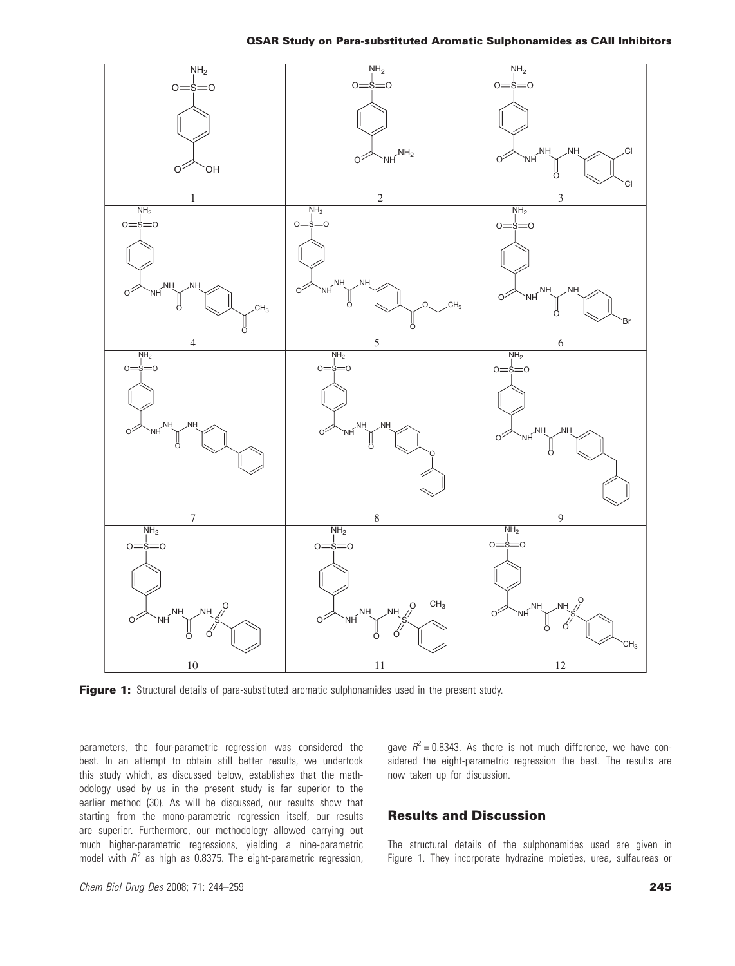

Figure 1: Structural details of para-substituted aromatic sulphonamides used in the present study.

parameters, the four-parametric regression was considered the best. In an attempt to obtain still better results, we undertook this study which, as discussed below, establishes that the methodology used by us in the present study is far superior to the earlier method (30). As will be discussed, our results show that starting from the mono-parametric regression itself, our results are superior. Furthermore, our methodology allowed carrying out much higher-parametric regressions, yielding a nine-parametric model with  $R^2$  as high as 0.8375. The eight-parametric regression, gave  $R^2$  = 0.8343. As there is not much difference, we have considered the eight-parametric regression the best. The results are now taken up for discussion.

#### Results and Discussion

The structural details of the sulphonamides used are given in Figure 1. They incorporate hydrazine moieties, urea, sulfaureas or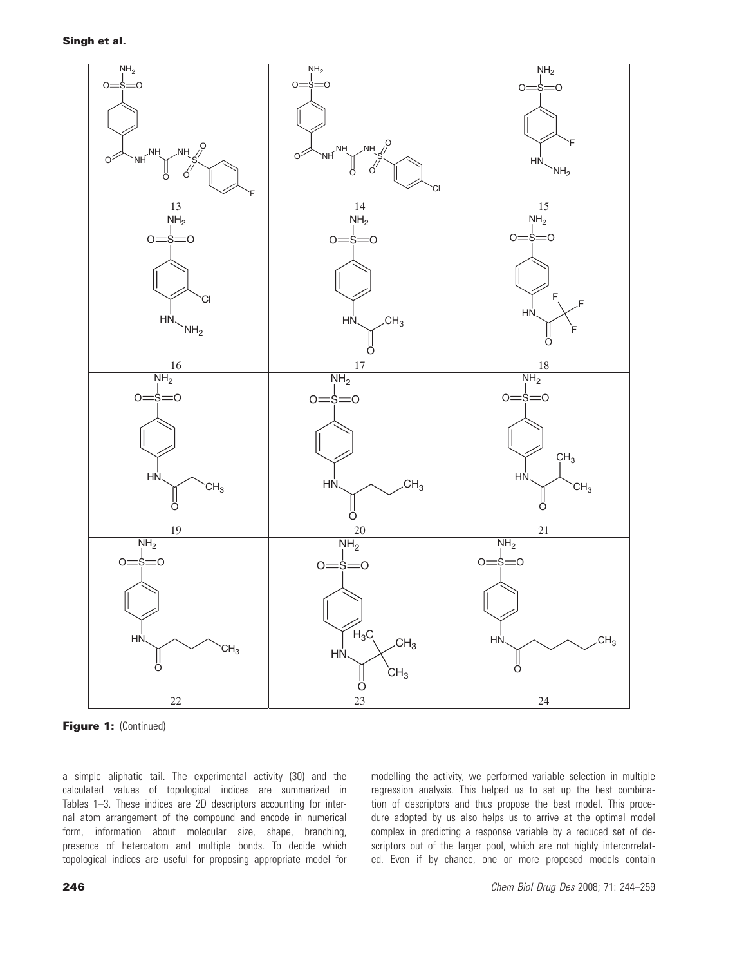

Figure 1: (Continued)

a simple aliphatic tail. The experimental activity (30) and the calculated values of topological indices are summarized in Tables 1–3. These indices are 2D descriptors accounting for internal atom arrangement of the compound and encode in numerical form, information about molecular size, shape, branching, presence of heteroatom and multiple bonds. To decide which topological indices are useful for proposing appropriate model for modelling the activity, we performed variable selection in multiple regression analysis. This helped us to set up the best combination of descriptors and thus propose the best model. This procedure adopted by us also helps us to arrive at the optimal model complex in predicting a response variable by a reduced set of descriptors out of the larger pool, which are not highly intercorrelated. Even if by chance, one or more proposed models contain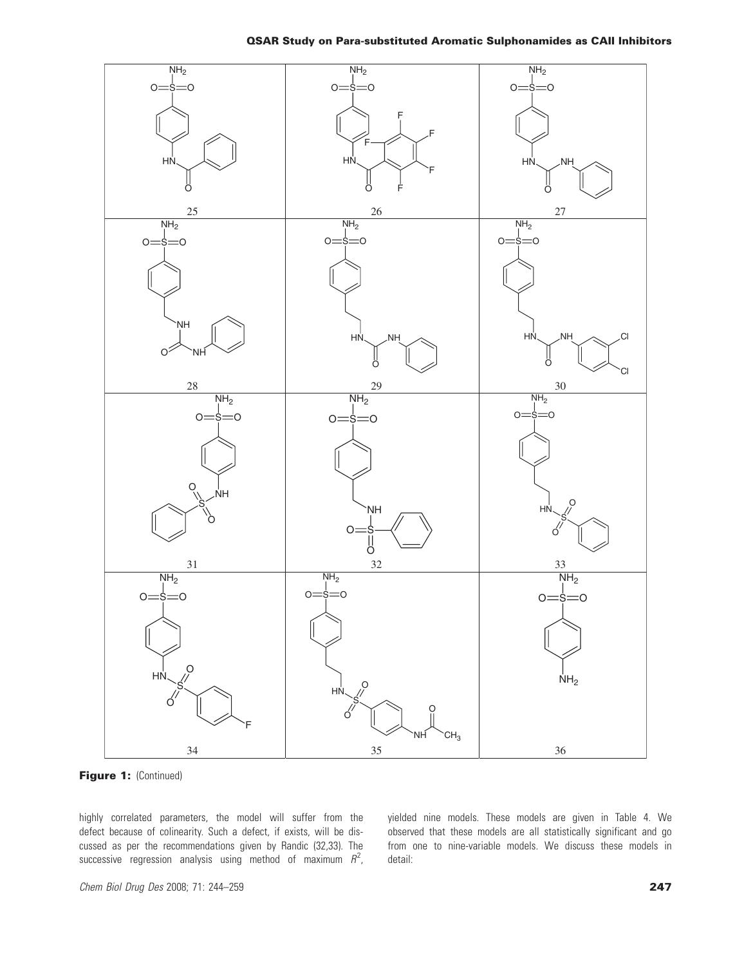

Figure 1: (Continued)

highly correlated parameters, the model will suffer from the defect because of colinearity. Such a defect, if exists, will be discussed as per the recommendations given by Randic (32,33). The successive regression analysis using method of maximum  $R^2$ ,

yielded nine models. These models are given in Table 4. We observed that these models are all statistically significant and go from one to nine-variable models. We discuss these models in detail: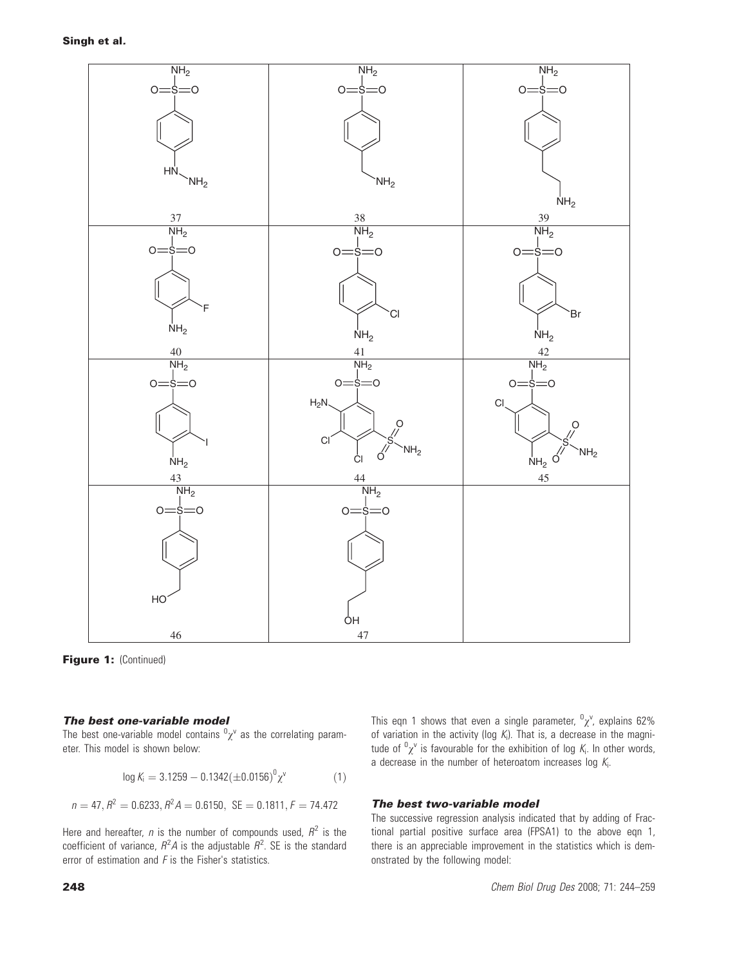

Figure 1: (Continued)

#### The best one-variable model

The best one-variable model contains  ${}^0\chi^{\vee}$  as the correlating parameter. This model is shown below:

$$
\log K_i = 3.1259 - 0.1342(\pm 0.0156)^0 \chi^v \tag{1}
$$

$$
n = 47, R^2 = 0.6233, R^2 A = 0.6150, \, \text{SE} = 0.1811, F = 74.472
$$

Here and hereafter, *n* is the number of compounds used,  $R^2$  is the coefficient of variance,  $R^2A$  is the adjustable  $R^2$ . SE is the standard error of estimation and  $F$  is the Fisher's statistics.

This eqn 1 shows that even a single parameter,  ${}^0\chi$ <sup>v</sup>, explains 62% of variation in the activity (log  $K_i$ ). That is, a decrease in the magnitude of  ${}^{0}\chi^{\nu}$  is favourable for the exhibition of log  $K_i$ . In other words, a decrease in the number of heteroatom increases log  $K_i$ .

#### The best two-variable model

The successive regression analysis indicated that by adding of Fractional partial positive surface area (FPSA1) to the above eqn 1, there is an appreciable improvement in the statistics which is demonstrated by the following model: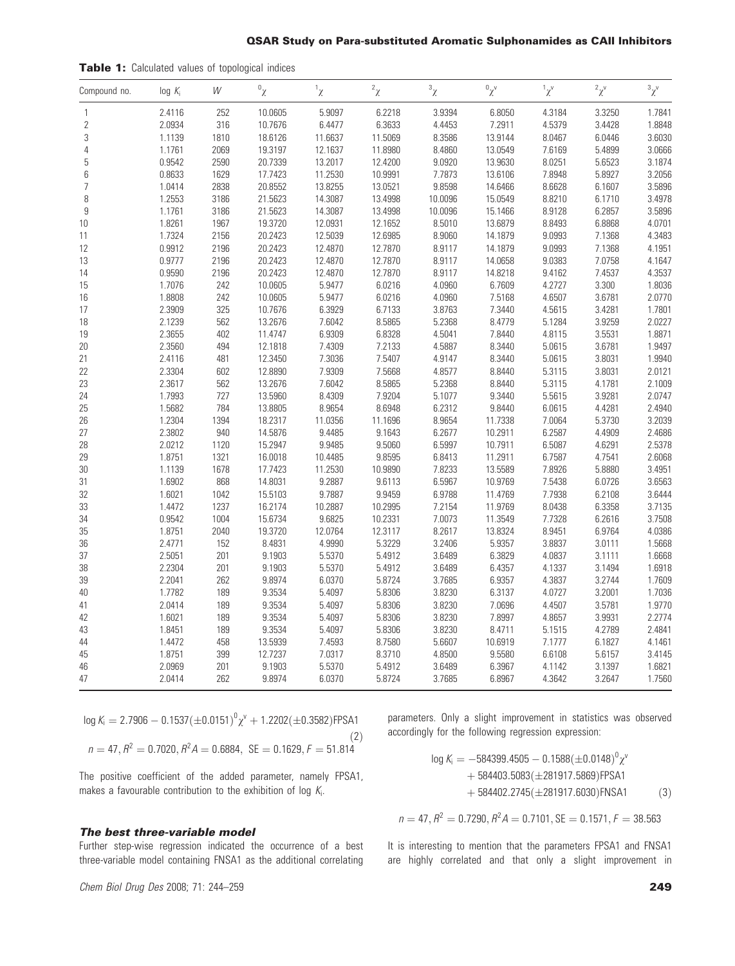#### QSAR Study on Para-substituted Aromatic Sulphonamides as CAII Inhibitors

| Compound no.   | $log K_i$ | W    | $\sigma_{\chi}$ | ${}^1\chi$ | $^2\chi$ | $\mathbf{3}_{\chi}$ | $\alpha_{\chi^{\vee}}$ | $1\chi^v$ | ${}^2\chi^{\text{v}}$ | $\chi^2$ |
|----------------|-----------|------|-----------------|------------|----------|---------------------|------------------------|-----------|-----------------------|----------|
| 1              | 2.4116    | 252  | 10.0605         | 5.9097     | 6.2218   | 3.9394              | 6.8050                 | 4.3184    | 3.3250                | 1.7841   |
| $\overline{2}$ | 2.0934    | 316  | 10.7676         | 6.4477     | 6.3633   | 4.4453              | 7.2911                 | 4.5379    | 3.4428                | 1.8848   |
| 3              | 1.1139    | 1810 | 18.6126         | 11.6637    | 11.5069  | 8.3586              | 13.9144                | 8.0467    | 6.0446                | 3.6030   |
| 4              | 1.1761    | 2069 | 19.3197         | 12.1637    | 11.8980  | 8.4860              | 13.0549                | 7.6169    | 5.4899                | 3.0666   |
| 5              | 0.9542    | 2590 | 20.7339         | 13.2017    | 12.4200  | 9.0920              | 13.9630                | 8.0251    | 5.6523                | 3.1874   |
| 6              | 0.8633    | 1629 | 17.7423         | 11.2530    | 10.9991  | 7.7873              | 13.6106                | 7.8948    | 5.8927                | 3.2056   |
| 7              | 1.0414    | 2838 | 20.8552         | 13.8255    | 13.0521  | 9.8598              | 14.6466                | 8.6628    | 6.1607                | 3.5896   |
| 8              | 1.2553    | 3186 | 21.5623         | 14.3087    | 13.4998  | 10.0096             | 15.0549                | 8.8210    | 6.1710                | 3.4978   |
| 9              | 1.1761    | 3186 | 21.5623         | 14.3087    | 13.4998  | 10.0096             | 15.1466                | 8.9128    | 6.2857                | 3.5896   |
| 10             | 1.8261    | 1967 | 19.3720         | 12.0931    | 12.1652  | 8.5010              | 13.6879                | 8.8493    | 6.8868                | 4.0701   |
| 11             | 1.7324    | 2156 | 20.2423         | 12.5039    | 12.6985  | 8.9060              | 14.1879                | 9.0993    | 7.1368                | 4.3483   |
| 12             | 0.9912    | 2196 | 20.2423         | 12.4870    | 12.7870  | 8.9117              | 14.1879                | 9.0993    | 7.1368                | 4.1951   |
| 13             | 0.9777    | 2196 | 20.2423         | 12.4870    | 12.7870  | 8.9117              | 14.0658                | 9.0383    | 7.0758                | 4.1647   |
| 14             | 0.9590    | 2196 | 20.2423         | 12.4870    | 12.7870  | 8.9117              | 14.8218                | 9.4162    | 7.4537                | 4.3537   |
| 15             | 1.7076    | 242  | 10.0605         | 5.9477     | 6.0216   | 4.0960              | 6.7609                 | 4.2727    | 3.300                 | 1.8036   |
| 16             | 1.8808    | 242  | 10.0605         | 5.9477     | 6.0216   | 4.0960              | 7.5168                 | 4.6507    | 3.6781                | 2.0770   |
| 17             | 2.3909    | 325  | 10.7676         | 6.3929     | 6.7133   | 3.8763              | 7.3440                 | 4.5615    | 3.4281                | 1.7801   |
| 18             | 2.1239    | 562  | 13.2676         | 7.6042     | 8.5865   | 5.2368              | 8.4779                 | 5.1284    | 3.9259                | 2.0227   |
| 19             | 2.3655    | 402  | 11.4747         | 6.9309     | 6.8328   | 4.5041              | 7.8440                 | 4.8115    | 3.5531                | 1.8871   |
| 20             | 2.3560    | 494  | 12.1818         | 7.4309     | 7.2133   | 4.5887              | 8.3440                 | 5.0615    | 3.6781                | 1.9497   |
| 21             | 2.4116    | 481  | 12.3450         | 7.3036     | 7.5407   | 4.9147              | 8.3440                 | 5.0615    | 3.8031                | 1.9940   |
| 22             | 2.3304    | 602  | 12.8890         | 7.9309     | 7.5668   | 4.8577              | 8.8440                 | 5.3115    | 3.8031                | 2.0121   |
| 23             | 2.3617    | 562  | 13.2676         | 7.6042     | 8.5865   | 5.2368              | 8.8440                 | 5.3115    | 4.1781                | 2.1009   |
| 24             | 1.7993    | 727  | 13.5960         | 8.4309     | 7.9204   | 5.1077              | 9.3440                 | 5.5615    | 3.9281                | 2.0747   |
| 25             | 1.5682    | 784  | 13.8805         | 8.9654     | 8.6948   | 6.2312              | 9.8440                 | 6.0615    | 4.4281                | 2.4940   |
| 26             | 1.2304    | 1394 | 18.2317         | 11.0356    | 11.1696  | 8.9654              | 11.7338                | 7.0064    | 5.3730                | 3.2039   |
| 27             | 2.3802    | 940  | 14.5876         | 9.4485     | 9.1643   | 6.2677              | 10.2911                | 6.2587    | 4.4909                | 2.4686   |
| 28             | 2.0212    | 1120 | 15.2947         | 9.9485     | 9.5060   | 6.5997              | 10.7911                | 6.5087    | 4.6291                | 2.5378   |
| 29             | 1.8751    | 1321 | 16.0018         | 10.4485    | 9.8595   | 6.8413              | 11.2911                | 6.7587    | 4.7541                | 2.6068   |
| 30             | 1.1139    | 1678 | 17.7423         | 11.2530    | 10.9890  | 7.8233              | 13.5589                | 7.8926    | 5.8880                | 3.4951   |
| 31             | 1.6902    | 868  | 14.8031         | 9.2887     | 9.6113   | 6.5967              | 10.9769                | 7.5438    | 6.0726                | 3.6563   |
| 32             | 1.6021    | 1042 | 15.5103         | 9.7887     | 9.9459   | 6.9788              | 11.4769                | 7.7938    | 6.2108                | 3.6444   |
| 33             | 1.4472    | 1237 | 16.2174         | 10.2887    | 10.2995  | 7.2154              | 11.9769                | 8.0438    | 6.3358                | 3.7135   |
| 34             | 0.9542    | 1004 | 15.6734         | 9.6825     | 10.2331  | 7.0073              | 11.3549                | 7.7328    | 6.2616                | 3.7508   |
| 35             | 1.8751    | 2040 | 19.3720         | 12.0764    | 12.3117  | 8.2617              | 13.8324                | 8.9451    | 6.9764                | 4.0386   |
| 36             | 2.4771    | 152  | 8.4831          | 4.9990     | 5.3229   | 3.2406              | 5.9357                 | 3.8837    | 3.0111                | 1.5668   |
| 37             | 2.5051    | 201  | 9.1903          | 5.5370     | 5.4912   | 3.6489              | 6.3829                 | 4.0837    | 3.1111                | 1.6668   |
| 38             | 2.2304    | 201  | 9.1903          | 5.5370     | 5.4912   | 3.6489              | 6.4357                 | 4.1337    | 3.1494                | 1.6918   |
| 39             | 2.2041    | 262  | 9.8974          | 6.0370     | 5.8724   | 3.7685              | 6.9357                 | 4.3837    | 3.2744                | 1.7609   |
| 40             | 1.7782    | 189  | 9.3534          | 5.4097     | 5.8306   | 3.8230              | 6.3137                 | 4.0727    | 3.2001                | 1.7036   |
| 41             | 2.0414    | 189  | 9.3534          | 5.4097     | 5.8306   | 3.8230              | 7.0696                 | 4.4507    | 3.5781                | 1.9770   |
| 42             | 1.6021    | 189  | 9.3534          | 5.4097     | 5.8306   | 3.8230              | 7.8997                 | 4.8657    | 3.9931                | 2.2774   |
| 43             | 1.8451    | 189  | 9.3534          | 5.4097     | 5.8306   | 3.8230              | 8.4711                 | 5.1515    | 4.2789                | 2.4841   |
| 44             | 1.4472    | 458  | 13.5939         | 7.4593     | 8.7580   | 5.6607              | 10.6919                | 7.1777    | 6.1827                | 4.1461   |
| 45             | 1.8751    | 399  | 12.7237         | 7.0317     | 8.3710   | 4.8500              | 9.5580                 | 6.6108    | 5.6157                | 3.4145   |
| 46             | 2.0969    | 201  | 9.1903          | 5.5370     | 5.4912   | 3.6489              | 6.3967                 | 4.1142    | 3.1397                | 1.6821   |
| 47             | 2.0414    | 262  | 9.8974          | 6.0370     | 5.8724   | 3.7685              | 6.8967                 | 4.3642    | 3.2647                | 1.7560   |

 $\log K_{\rm i} = 2.7906 - 0.1537 (\pm 0.0151)^0 \chi^{\rm v} + 1.2202 (\pm 0.3582)$ FPSA1  $(2)$ 

$$
n = 47, R^2 = 0.7020, R^2 A = 0.6884, \text{ SE} = 0.1629, F = 51.814
$$

The positive coefficient of the added parameter, namely FPSA1, makes a favourable contribution to the exhibition of log  $\mathcal{K}_{i}$ .

#### The best three-variable model

Further step-wise regression indicated the occurrence of a best three-variable model containing FNSA1 as the additional correlating parameters. Only a slight improvement in statistics was observed accordingly for the following regression expression:

$$
\log K_{i} = -584399.4505 - 0.1588(\pm 0.0148)^{0} \chi^{v} + 584403.5083(\pm 281917.5869)FPSA1 + 584402.2745(\pm 281917.6030)FNSA1
$$
 (3)

$$
n = 47, R2 = 0.7290, R2A = 0.7101, SE = 0.1571, F = 38.563
$$

It is interesting to mention that the parameters FPSA1 and FNSA1 are highly correlated and that only a slight improvement in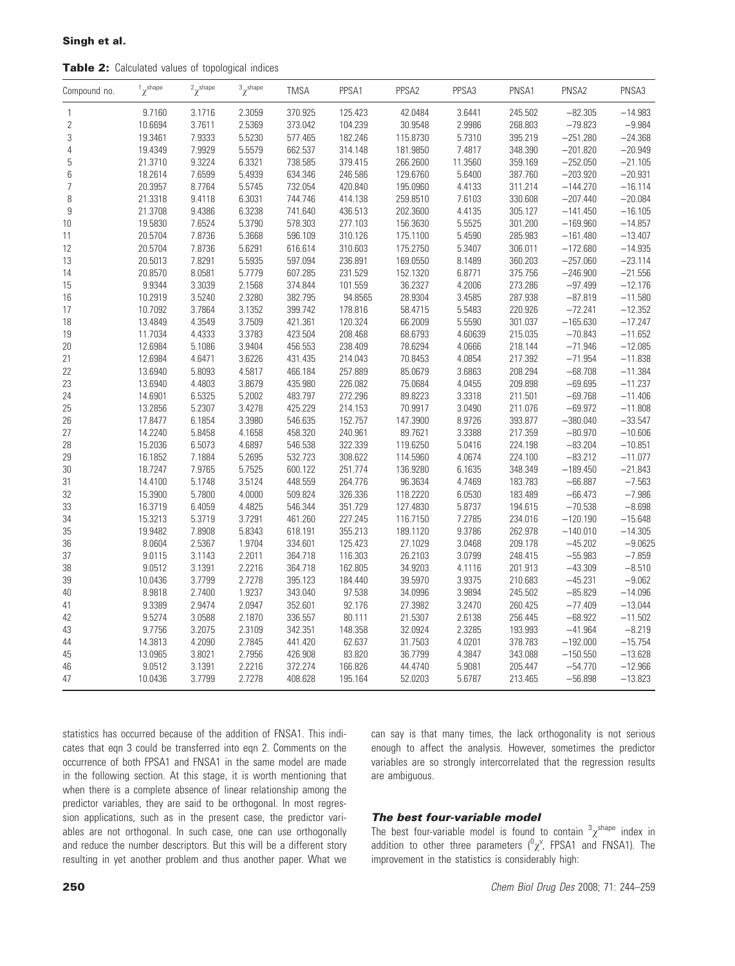Table 2: Calculated values of topological indices

| Compound no.   | $\gamma^{\text{shape}}$ | $^2\chi^{\text{shape}}$ | $\sigma^3 \chi^{\rm shape}$ | <b>TMSA</b> | PPSA1   | PPSA2    | PPSA3   | PNSA1   | PNSA2      | PNSA3     |
|----------------|-------------------------|-------------------------|-----------------------------|-------------|---------|----------|---------|---------|------------|-----------|
| $\mathbf{1}$   | 9.7160                  | 3.1716                  | 2.3059                      | 370.925     | 125.423 | 42.0484  | 3.6441  | 245.502 | $-82.305$  | $-14.983$ |
| $\sqrt{2}$     | 10.6694                 | 3.7611                  | 2.5369                      | 373.042     | 104.239 | 30.9548  | 2.9986  | 268.803 | $-79.823$  | $-9.984$  |
| 3              | 19.3461                 | 7.9333                  | 5.5230                      | 577.465     | 182.246 | 115.8730 | 5.7310  | 395.219 | $-251.280$ | $-24.368$ |
| 4              | 19.4349                 | 7.9929                  | 5.5579                      | 662.537     | 314.148 | 181.9850 | 7.4817  | 348.390 | $-201.820$ | $-20.949$ |
| 5              | 21.3710                 | 9.3224                  | 6.3321                      | 738.585     | 379.415 | 266.2600 | 11.3560 | 359.169 | $-252.050$ | $-21.105$ |
| 6              | 18.2614                 | 7.6599                  | 5.4939                      | 634.346     | 246.586 | 129.6760 | 5.6400  | 387.760 | $-203.920$ | $-20.931$ |
| $\overline{7}$ | 20.3957                 | 8.7764                  | 5.5745                      | 732.054     | 420.840 | 195.0960 | 4.4133  | 311.214 | $-144.270$ | $-16.114$ |
| 8              | 21.3318                 | 9.4118                  | 6.3031                      | 744.746     | 414.138 | 259.8510 | 7.6103  | 330.608 | $-207.440$ | $-20.084$ |
| 9              | 21.3708                 | 9.4386                  | 6.3238                      | 741.640     | 436.513 | 202.3600 | 4.4135  | 305.127 | $-141.450$ | $-16.105$ |
| 10             | 19.5830                 | 7.6524                  | 5.3790                      | 578.303     | 277.103 | 156.3630 | 5.5525  | 301.200 | $-169.960$ | $-14.857$ |
| 11             | 20.5704                 | 7.8736                  | 5.3668                      | 596.109     | 310.126 | 175.1100 | 5.4590  | 285.983 | $-161.480$ | $-13.407$ |
| 12             | 20.5704                 | 7.8736                  | 5.6291                      | 616.614     | 310.603 | 175.2750 | 5.3407  | 306.011 | $-172.680$ | $-14.935$ |
| 13             | 20.5013                 | 7.8291                  | 5.5935                      | 597.094     | 236.891 | 169.0550 | 8.1489  | 360.203 | $-257.060$ | $-23.114$ |
| 14             | 20.8570                 | 8.0581                  | 5.7779                      | 607.285     | 231.529 | 152.1320 | 6.8771  | 375.756 | $-246.900$ | $-21.556$ |
| 15             | 9.9344                  | 3.3039                  | 2.1568                      | 374.844     | 101.559 | 36.2327  | 4.2006  | 273.286 | $-97.499$  | $-12.176$ |
| 16             | 10.2919                 | 3.5240                  | 2.3280                      | 382.795     | 94.8565 | 28.9304  | 3.4585  | 287.938 | $-87.819$  | $-11.580$ |
| 17             | 10.7092                 | 3.7864                  | 3.1352                      | 399.742     | 178.816 | 58.4715  | 5.5483  | 220.926 | $-72.241$  | $-12.352$ |
| 18             | 13.4849                 | 4.3549                  | 3.7509                      | 421.361     | 120.324 | 66.2009  | 5.5590  | 301.037 | $-165.630$ | $-17.247$ |
| 19             | 11.7034                 | 4.4333                  | 3.3783                      | 423.504     | 208.468 | 68.6793  | 4.60639 | 215.035 | $-70.843$  | $-11.652$ |
| 20             | 12.6984                 | 5.1086                  | 3.9404                      | 456.553     | 238.409 | 78.6294  | 4.0666  | 218.144 | $-71.946$  | $-12.085$ |
| 21             | 12.6984                 | 4.6471                  | 3.6226                      | 431.435     | 214.043 | 70.8453  | 4.0854  | 217.392 | $-71.954$  | $-11.838$ |
| 22             | 13.6940                 | 5.8093                  | 4.5817                      | 466.184     | 257.889 | 85.0679  | 3.6863  | 208.294 | $-68.708$  | $-11.384$ |
| 23             | 13.6940                 | 4.4803                  | 3.8679                      | 435.980     | 226.082 | 75.0684  | 4.0455  | 209.898 | $-69.695$  | $-11.237$ |
| 24             | 14.6901                 | 6.5325                  | 5.2002                      | 483.797     | 272.296 | 89.8223  | 3.3318  | 211.501 | $-69.768$  | $-11.406$ |
| 25             | 13.2856                 | 5.2307                  | 3.4278                      | 425.229     | 214.153 | 70.9917  | 3.0490  | 211.076 | $-69.972$  | $-11.808$ |
| 26             | 17.8477                 | 6.1854                  | 3.3980                      | 546.635     | 152.757 | 147.3900 | 8.9726  | 393.877 | $-380.040$ | $-33.547$ |
| 27             | 14.2240                 | 5.8458                  | 4.1658                      | 458.320     | 240.961 | 89.7621  | 3.3388  | 217.359 | $-80.970$  | $-10.606$ |
| 28             | 15.2036                 | 6.5073                  | 4.6897                      | 546.538     | 322.339 | 119.6250 | 5.0416  | 224.198 | $-83.204$  | $-10.851$ |
| 29             | 16.1852                 | 7.1884                  | 5.2695                      | 532.723     | 308.622 | 114.5960 | 4.0674  | 224.100 | $-83.212$  | $-11.077$ |
| 30             | 18.7247                 | 7.9765                  | 5.7525                      | 600.122     | 251.774 | 136.9280 | 6.1635  | 348.349 | $-189.450$ | $-21.843$ |
| 31             | 14.4100                 | 5.1748                  | 3.5124                      | 448.559     | 264.776 | 96.3634  | 4.7469  | 183.783 | $-66.887$  | $-7.563$  |
| 32             | 15.3900                 | 5.7800                  | 4.0000                      | 509.824     | 326.336 | 118.2220 | 6.0530  | 183.489 | $-66.473$  | $-7.986$  |
| 33             | 16.3719                 | 6.4059                  | 4.4825                      | 546.344     | 351.729 | 127.4830 | 5.8737  | 194.615 | $-70.538$  | $-8.698$  |
| 34             | 15.3213                 | 5.3719                  | 3.7291                      | 461.260     | 227.245 | 116.7150 | 7.2785  | 234.016 | $-120.190$ | $-15.648$ |
| 35             | 19.9482                 | 7.8908                  | 5.8343                      | 618.191     | 355.213 | 189.1120 | 9.3786  | 262.978 | $-140.010$ | $-14.305$ |
| 36             | 8.0604                  | 2.5367                  | 1.9704                      | 334.601     | 125.423 | 27.1029  | 3.0468  | 209.178 | $-45.202$  | $-9.0625$ |
| 37             | 9.0115                  | 3.1143                  | 2.2011                      | 364.718     | 116.303 | 26.2103  | 3.0799  | 248.415 | $-55.983$  | $-7.859$  |
| 38             | 9.0512                  | 3.1391                  | 2.2216                      | 364.718     | 162.805 | 34.9203  | 4.1116  | 201.913 | $-43.309$  | $-8.510$  |
| 39             | 10.0436                 | 3.7799                  | 2.7278                      | 395.123     | 184.440 | 39.5970  | 3.9375  | 210.683 | $-45.231$  | $-9.062$  |
| 40             | 8.9818                  | 2.7400                  | 1.9237                      | 343.040     | 97.538  | 34.0996  | 3.9894  | 245.502 | $-85.829$  | $-14.096$ |
| 41             | 9.3389                  | 2.9474                  | 2.0947                      | 352.601     | 92.176  | 27.3982  | 3.2470  | 260.425 | $-77.409$  | $-13.044$ |
| 42             | 9.5274                  | 3.0588                  | 2.1870                      | 336.557     | 80.111  | 21.5307  | 2.6138  | 256.445 | $-68.922$  | $-11.502$ |
| 43             | 9.7756                  | 3.2075                  | 2.3109                      | 342.351     | 148.358 | 32.0924  | 2.3285  | 193.993 | $-41.964$  | $-8.219$  |
| 44             | 14.3813                 | 4.2090                  | 2.7845                      | 441.420     | 62.637  | 31.7503  | 4.0201  | 378.783 | $-192.000$ | $-15.754$ |
| 45             | 13.0965                 | 3.8021                  | 2.7956                      | 426.908     | 83.820  | 36.7799  | 4.3847  | 343.088 | $-150.550$ | $-13.628$ |
| 46             | 9.0512                  | 3.1391                  | 2.2216                      | 372.274     | 166.826 | 44.4740  | 5.9081  | 205.447 | $-54.770$  | $-12.966$ |
| 47             | 10.0436                 | 3.7799                  | 2.7278                      | 408.628     | 195.164 | 52.0203  | 5.6787  | 213.465 | $-56.898$  | $-13.823$ |
|                |                         |                         |                             |             |         |          |         |         |            |           |

statistics has occurred because of the addition of FNSA1. This indicates that eqn 3 could be transferred into eqn 2. Comments on the occurrence of both FPSA1 and FNSA1 in the same model are made in the following section. At this stage, it is worth mentioning that when there is a complete absence of linear relationship among the predictor variables, they are said to be orthogonal. In most regression applications, such as in the present case, the predictor variables are not orthogonal. In such case, one can use orthogonally and reduce the number descriptors. But this will be a different story resulting in yet another problem and thus another paper. What we can say is that many times, the lack orthogonality is not serious enough to affect the analysis. However, sometimes the predictor variables are so strongly intercorrelated that the regression results are ambiguous.

#### The best four-variable model

The best four-variable model is found to contain  $\frac{3}{x}$ <sup>shape</sup> index in addition to other three parameters  $({}^0\chi^{\vee}$ , FPSA1 and FNSA1). The improvement in the statistics is considerably high: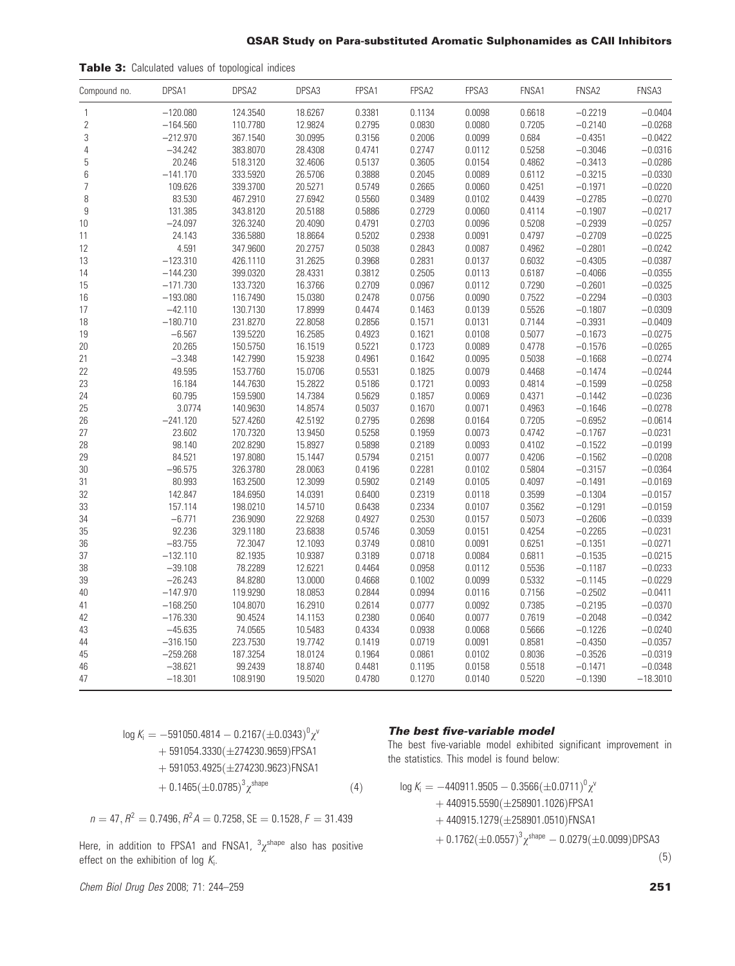#### QSAR Study on Para-substituted Aromatic Sulphonamides as CAII Inhibitors

| Table 3: Calculated values of topological indices |
|---------------------------------------------------|
|                                                   |

| Compound no.   | DPSA1      | DPSA2    | DPSA3   | FPSA1  | FPSA <sub>2</sub> | FPSA3  | FNSA1  | FNSA2     | FNSA3      |
|----------------|------------|----------|---------|--------|-------------------|--------|--------|-----------|------------|
| $\mathbf{1}$   | $-120.080$ | 124.3540 | 18.6267 | 0.3381 | 0.1134            | 0.0098 | 0.6618 | $-0.2219$ | $-0.0404$  |
| $\overline{2}$ | $-164.560$ | 110.7780 | 12.9824 | 0.2795 | 0.0830            | 0.0080 | 0.7205 | $-0.2140$ | $-0.0268$  |
| 3              | $-212.970$ | 367.1540 | 30.0995 | 0.3156 | 0.2006            | 0.0099 | 0.684  | $-0.4351$ | $-0.0422$  |
| $\overline{4}$ | $-34.242$  | 383.8070 | 28.4308 | 0.4741 | 0.2747            | 0.0112 | 0.5258 | $-0.3046$ | $-0.0316$  |
| 5              | 20.246     | 518.3120 | 32.4606 | 0.5137 | 0.3605            | 0.0154 | 0.4862 | $-0.3413$ | $-0.0286$  |
| 6              | $-141.170$ | 333.5920 | 26.5706 | 0.3888 | 0.2045            | 0.0089 | 0.6112 | $-0.3215$ | $-0.0330$  |
| $\overline{7}$ | 109.626    | 339.3700 | 20.5271 | 0.5749 | 0.2665            | 0.0060 | 0.4251 | $-0.1971$ | $-0.0220$  |
| 8              | 83.530     | 467.2910 | 27.6942 | 0.5560 | 0.3489            | 0.0102 | 0.4439 | $-0.2785$ | $-0.0270$  |
| 9              | 131.385    | 343.8120 | 20.5188 | 0.5886 | 0.2729            | 0.0060 | 0.4114 | $-0.1907$ | $-0.0217$  |
| 10             | $-24.097$  | 326.3240 | 20.4090 | 0.4791 | 0.2703            | 0.0096 | 0.5208 | $-0.2939$ | $-0.0257$  |
| 11             | 24.143     | 336.5880 | 18.8664 | 0.5202 | 0.2938            | 0.0091 | 0.4797 | $-0.2709$ | $-0.0225$  |
| 12             | 4.591      | 347.9600 | 20.2757 | 0.5038 | 0.2843            | 0.0087 | 0.4962 | $-0.2801$ | $-0.0242$  |
| 13             | $-123.310$ | 426.1110 | 31.2625 | 0.3968 | 0.2831            | 0.0137 | 0.6032 | $-0.4305$ | $-0.0387$  |
| 14             | $-144.230$ | 399.0320 | 28.4331 | 0.3812 | 0.2505            | 0.0113 | 0.6187 | $-0.4066$ | $-0.0355$  |
| 15             | $-171.730$ | 133.7320 | 16.3766 | 0.2709 | 0.0967            | 0.0112 | 0.7290 | $-0.2601$ | $-0.0325$  |
| 16             | $-193.080$ | 116.7490 | 15.0380 | 0.2478 | 0.0756            | 0.0090 | 0.7522 | $-0.2294$ | $-0.0303$  |
| 17             | $-42.110$  | 130.7130 | 17.8999 | 0.4474 | 0.1463            | 0.0139 | 0.5526 | $-0.1807$ | $-0.0309$  |
| 18             | $-180.710$ | 231.8270 | 22.8058 | 0.2856 | 0.1571            | 0.0131 | 0.7144 | $-0.3931$ | $-0.0409$  |
| 19             | $-6.567$   | 139.5220 | 16.2585 | 0.4923 | 0.1621            | 0.0108 | 0.5077 | $-0.1673$ | $-0.0275$  |
| 20             | 20.265     | 150.5750 | 16.1519 | 0.5221 | 0.1723            | 0.0089 | 0.4778 | $-0.1576$ | $-0.0265$  |
| 21             | $-3.348$   | 142.7990 | 15.9238 | 0.4961 | 0.1642            | 0.0095 | 0.5038 | $-0.1668$ | $-0.0274$  |
| 22             | 49.595     | 153.7760 | 15.0706 | 0.5531 | 0.1825            | 0.0079 | 0.4468 | $-0.1474$ | $-0.0244$  |
| 23             | 16.184     | 144.7630 | 15.2822 | 0.5186 | 0.1721            | 0.0093 | 0.4814 | $-0.1599$ | $-0.0258$  |
| 24             | 60.795     | 159.5900 | 14.7384 | 0.5629 | 0.1857            | 0.0069 | 0.4371 | $-0.1442$ | $-0.0236$  |
| 25             | 3.0774     | 140.9630 | 14.8574 | 0.5037 | 0.1670            | 0.0071 | 0.4963 | $-0.1646$ | $-0.0278$  |
| 26             | $-241.120$ | 527.4260 | 42.5192 | 0.2795 | 0.2698            | 0.0164 | 0.7205 | $-0.6952$ | $-0.0614$  |
| 27             | 23.602     | 170.7320 | 13.9450 | 0.5258 | 0.1959            | 0.0073 | 0.4742 | $-0.1767$ | $-0.0231$  |
| 28             | 98.140     | 202.8290 | 15.8927 | 0.5898 | 0.2189            | 0.0093 | 0.4102 | $-0.1522$ | $-0.0199$  |
| 29             | 84.521     | 197.8080 | 15.1447 | 0.5794 | 0.2151            | 0.0077 | 0.4206 | $-0.1562$ | $-0.0208$  |
| 30             | $-96.575$  | 326.3780 | 28.0063 | 0.4196 | 0.2281            | 0.0102 | 0.5804 | $-0.3157$ | $-0.0364$  |
| 31             | 80.993     | 163.2500 | 12.3099 | 0.5902 | 0.2149            | 0.0105 | 0.4097 | $-0.1491$ | $-0.0169$  |
| 32             | 142.847    | 184.6950 | 14.0391 | 0.6400 | 0.2319            | 0.0118 | 0.3599 | $-0.1304$ | $-0.0157$  |
| 33             | 157.114    | 198.0210 | 14.5710 | 0.6438 | 0.2334            | 0.0107 | 0.3562 | $-0.1291$ | $-0.0159$  |
| 34             | $-6.771$   | 236.9090 | 22.9268 | 0.4927 | 0.2530            | 0.0157 | 0.5073 | $-0.2606$ | $-0.0339$  |
| 35             | 92.236     | 329.1180 | 23.6838 | 0.5746 | 0.3059            | 0.0151 | 0.4254 | $-0.2265$ | $-0.0231$  |
| 36             | $-83.755$  | 72.3047  | 12.1093 | 0.3749 | 0.0810            | 0.0091 | 0.6251 | $-0.1351$ | $-0.0271$  |
| 37             | $-132.110$ | 82.1935  | 10.9387 | 0.3189 | 0.0718            | 0.0084 | 0.6811 | $-0.1535$ | $-0.0215$  |
| 38             | $-39.108$  | 78.2289  | 12.6221 | 0.4464 | 0.0958            | 0.0112 | 0.5536 | $-0.1187$ | $-0.0233$  |
| 39             | $-26.243$  | 84.8280  | 13.0000 | 0.4668 | 0.1002            | 0.0099 | 0.5332 | $-0.1145$ | $-0.0229$  |
| 40             | $-147.970$ | 119.9290 | 18.0853 | 0.2844 | 0.0994            | 0.0116 | 0.7156 | $-0.2502$ | $-0.0411$  |
| 41             | $-168.250$ | 104.8070 | 16.2910 | 0.2614 | 0.0777            | 0.0092 | 0.7385 | $-0.2195$ | $-0.0370$  |
| 42             | $-176.330$ | 90.4524  | 14.1153 | 0.2380 | 0.0640            | 0.0077 | 0.7619 | $-0.2048$ | $-0.0342$  |
| 43             | $-45.635$  | 74.0565  | 10.5483 | 0.4334 | 0.0938            | 0.0068 | 0.5666 | $-0.1226$ | $-0.0240$  |
| 44             | $-316.150$ | 223.7530 | 19.7742 | 0.1419 | 0.0719            | 0.0091 | 0.8581 | $-0.4350$ | $-0.0357$  |
| 45             | $-259.268$ | 187.3254 | 18.0124 | 0.1964 | 0.0861            | 0.0102 | 0.8036 | $-0.3526$ | $-0.0319$  |
| 46             | $-38.621$  | 99.2439  | 18.8740 | 0.4481 | 0.1195            | 0.0158 | 0.5518 | $-0.1471$ | $-0.0348$  |
| 47             | $-18.301$  | 108.9190 | 19.5020 | 0.4780 | 0.1270            | 0.0140 | 0.5220 | $-0.1390$ | $-18.3010$ |

$$
\log K_{i} = -591050.4814 - 0.2167(\pm 0.0343)^{0} \chi^{v}
$$
  
+ 591054.3330(\pm 274230.9659)FFSA1  
+ 591053.4925(\pm 274230.9623)FNSA1  
+ 0.1465(\pm 0.0785)^{3} \chi^{shape} (4)

 $n = 47, R^2 = 0.7496, R^2A = 0.7258, SE = 0.1528, F = 31.439$ 

Here, in addition to FPSA1 and FNSA1,  $\frac{3}{\chi}$ <sup>shape</sup> also has positive effect on the exhibition of log  $K_i$ .

Chem Biol Drug Des 2008; 71: 244–259 251

#### The best five-variable model

The best five-variable model exhibited significant improvement in the statistics. This model is found below:

$$
\begin{aligned} \log K_{\mathrm{i}}=&-440911.9505-0.3566(\pm0.0711)^{0}\chi^{\mathrm{v}}\\&+440915.5590(\pm258901.1026)\text{FFSA1}\\&+440915.1279(\pm258901.0510)\text{FNSA1}\\&+0.1762(\pm0.0557)^{3}\chi^{\mathrm{shape}}-0.0279(\pm0.0099)\text{DPSA3} \end{aligned}
$$

 $(5)$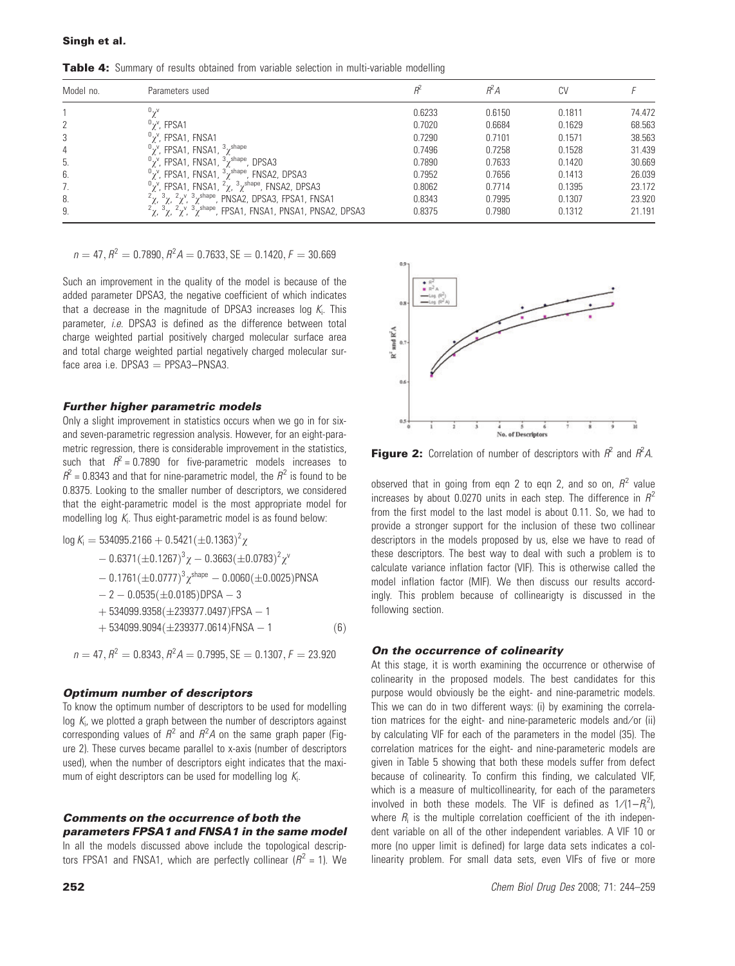Table 4: Summary of results obtained from variable selection in multi-variable modelling

| Model no. | Parameters used                                                                                         |        | ŔΆ     | CV     |        |
|-----------|---------------------------------------------------------------------------------------------------------|--------|--------|--------|--------|
|           |                                                                                                         | 0.6233 | 0.6150 | 0.1811 | 74.472 |
|           | $v_{\gamma}$ ", FPSA1                                                                                   | 0.7020 | 0.6684 | 0.1629 | 68.563 |
| 3         | <sup>υ</sup> χ <sup>ν</sup> , FPSA1, FNSA1                                                              | 0.7290 | 0.7101 | 0.1571 | 38.563 |
| 4         | $\sigma_{\chi}$ <sup>v</sup> , FPSA1, FNSA1, $\sigma_{\chi}$ <sup>shape</sup>                           | 0.7496 | 0.7258 | 0.1528 | 31.439 |
| 5.        | $\alpha$ <sup>v</sup> , FPSA1, FNSA1, $\alpha$ <sup>shape</sup> , DPSA3                                 | 0.7890 | 0.7633 | 0.1420 | 30.669 |
| 6.        | $\frac{0}{\gamma}$ , FPSA1, FNSA1, $\frac{3}{\gamma}$ shape, FNSA2, DPSA3                               | 0.7952 | 0.7656 | 0.1413 | 26.039 |
| 7.        | $\frac{0}{\gamma}$ , FPSA1, FNSA1, $\frac{2}{\gamma}$ , $\frac{3}{\gamma}$ shape, FNSA2, DPSA3          | 0.8062 | 0.7714 | 0.1395 | 23.172 |
| 8.        | $2\chi$ , $3\chi$ , $2\chi^2$ , $3\chi^{\text{shape}}$ , PNSA2, DPSA3, FPSA1, FNSA1                     | 0.8343 | 0.7995 | 0.1307 | 23.920 |
| 9.        | $2\chi$ , $3\chi$ , $2\chi$ <sup>v</sup> , $3\chi$ <sup>shape</sup> , FPSA1, FNSA1, PNSA1, PNSA2, DPSA3 | 0.8375 | 0.7980 | 0.1312 | 21.191 |

 $n = 47, R^2 = 0.7890, R^2A = 0.7633, SE = 0.1420, F = 30.669$ 

Such an improvement in the quality of the model is because of the added parameter DPSA3, the negative coefficient of which indicates that a decrease in the magnitude of DPSA3 increases log  $K_i$ . This parameter, *i.e.* DPSA3 is defined as the difference between total charge weighted partial positively charged molecular surface area and total charge weighted partial negatively charged molecular surface area i.e.  $DPSA3 = PPSA3 - PNSA3$ .

#### Further higher parametric models

Only a slight improvement in statistics occurs when we go in for sixand seven-parametric regression analysis. However, for an eight-parametric regression, there is considerable improvement in the statistics, such that  $R^2 = 0.7890$  for five-parametric models increases to  $R^2$  = 0.8343 and that for nine-parametric model, the  $R^2$  is found to be 0.8375. Looking to the smaller number of descriptors, we considered that the eight-parametric model is the most appropriate model for modelling log  $K_i$ . Thus eight-parametric model is as found below:

log K<sub>i</sub> = 534095.2166 + 0.5421(
$$
\pm
$$
0.1363)<sup>2</sup>  $\chi$   
\n- 0.6371( $\pm$ 0.1267)<sup>3</sup>  $\chi$  - 0.3663( $\pm$ 0.0783)<sup>2</sup>  $\chi$ <sup>Y</sup>  
\n- 0.1761( $\pm$ 0.0777)<sup>3</sup>  $\chi$ <sup>shape</sup> - 0.0060( $\pm$ 0.0025)PNSA  
\n- 2 - 0.0535( $\pm$ 0.0185)DPSA - 3  
\n+ 534099.9358( $\pm$ 239377.0497)FPSA - 1  
\n+ 534099.9094( $\pm$ 239377.0614)FNSA - 1 (6)

$$
n = 47, R^2 = 0.8343, R^2 A = 0.7995, SE = 0.1307, F = 23.920
$$

#### Optimum number of descriptors

To know the optimum number of descriptors to be used for modelling log  $K_i$ , we plotted a graph between the number of descriptors against corresponding values of  $R^2$  and  $R^2A$  on the same graph paper (Figure 2). These curves became parallel to x-axis (number of descriptors used), when the number of descriptors eight indicates that the maximum of eight descriptors can be used for modelling log  $\mathcal{K}_{i}$ .

#### Comments on the occurrence of both the parameters FPSA1 and FNSA1 in the same model

In all the models discussed above include the topological descriptors FPSA1 and FNSA1, which are perfectly collinear  $(R^2 = 1)$ . We



**Figure 2:** Correlation of number of descriptors with  $R^2$  and  $R^2A$ .

observed that in going from eqn 2 to eqn 2, and so on,  $R^2$  value increases by about 0.0270 units in each step. The difference in  $R^2$ from the first model to the last model is about 0.11. So, we had to provide a stronger support for the inclusion of these two collinear descriptors in the models proposed by us, else we have to read of these descriptors. The best way to deal with such a problem is to calculate variance inflation factor (VIF). This is otherwise called the model inflation factor (MIF). We then discuss our results accordingly. This problem because of collinearigty is discussed in the following section.

#### On the occurrence of colinearity

At this stage, it is worth examining the occurrence or otherwise of colinearity in the proposed models. The best candidates for this purpose would obviously be the eight- and nine-parametric models. This we can do in two different ways: (i) by examining the correlation matrices for the eight- and nine-parameteric models and/or (ii) by calculating VIF for each of the parameters in the model (35). The correlation matrices for the eight- and nine-parameteric models are given in Table 5 showing that both these models suffer from defect because of colinearity. To confirm this finding, we calculated VIF, which is a measure of multicollinearity, for each of the parameters involved in both these models. The VIF is defined as  $1/(1-R_i^2)$ , where  $R_i$  is the multiple correlation coefficient of the ith independent variable on all of the other independent variables. A VIF 10 or more (no upper limit is defined) for large data sets indicates a collinearity problem. For small data sets, even VIFs of five or more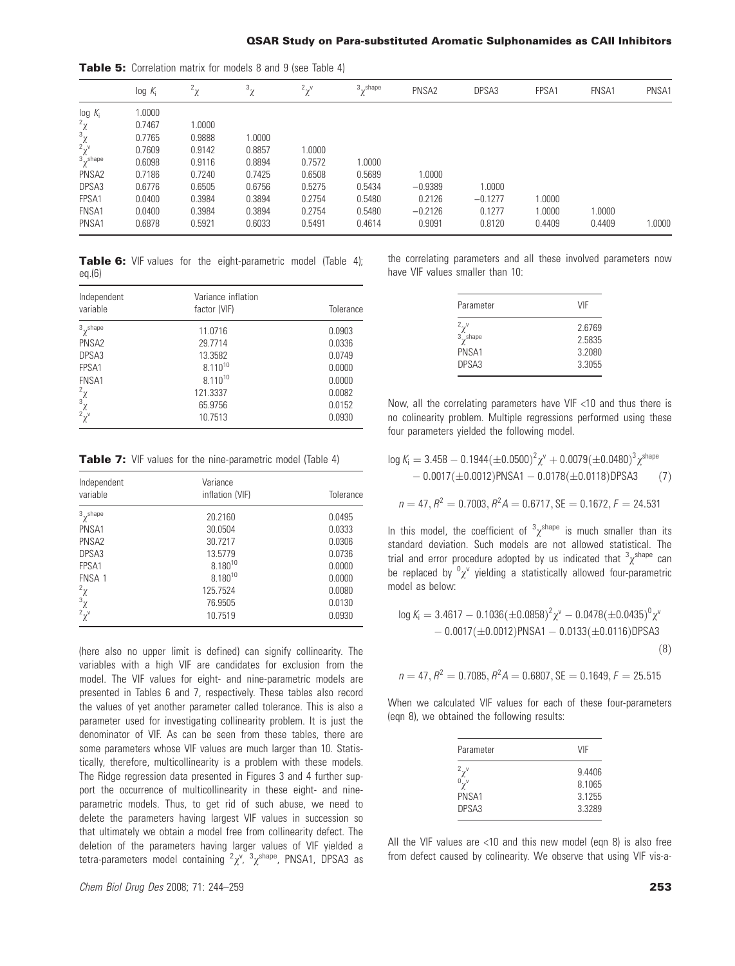|                                                                              | $log K_i$ | $2\gamma$ | $3\gamma$ | $2\gamma$ | $3\gamma$ shape | PNSA2     | DPSA3     | FPSA1  | FNSA1  | PNSA1  |
|------------------------------------------------------------------------------|-----------|-----------|-----------|-----------|-----------------|-----------|-----------|--------|--------|--------|
| $log K_i$                                                                    | 1.0000    |           |           |           |                 |           |           |        |        |        |
| $\frac{2\chi}{3\chi}$<br>$\frac{2\chi}{\chi}$<br>$\frac{2\chi}{3\chi}$ shape | 0.7467    | 1.0000    |           |           |                 |           |           |        |        |        |
|                                                                              | 0.7765    | 0.9888    | 1.0000    |           |                 |           |           |        |        |        |
|                                                                              | 0.7609    | 0.9142    | 0.8857    | 1.0000    |                 |           |           |        |        |        |
|                                                                              | 0.6098    | 0.9116    | 0.8894    | 0.7572    | 1.0000          |           |           |        |        |        |
| PNSA <sub>2</sub>                                                            | 0.7186    | 0.7240    | 0.7425    | 0.6508    | 0.5689          | 1.0000    |           |        |        |        |
| DPSA3                                                                        | 0.6776    | 0.6505    | 0.6756    | 0.5275    | 0.5434          | $-0.9389$ | 1.0000    |        |        |        |
| FPSA1                                                                        | 0.0400    | 0.3984    | 0.3894    | 0.2754    | 0.5480          | 0.2126    | $-0.1277$ | 1.0000 |        |        |
| FNSA1                                                                        | 0.0400    | 0.3984    | 0.3894    | 0.2754    | 0.5480          | $-0.2126$ | 0.1277    | 1.0000 | 1.0000 |        |
| PNSA1                                                                        | 0.6878    | 0.5921    | 0.6033    | 0.5491    | 0.4614          | 0.9091    | 0.8120    | 0.4409 | 0.4409 | 1.0000 |

Table 5: Correlation matrix for models 8 and 9 (see Table 4)

Table 6: VIF values for the eight-parametric model (Table 4): eq.(6)

| Independent<br>variable                                                  | Variance inflation<br>factor (VIF) | Tolerance |  |  |
|--------------------------------------------------------------------------|------------------------------------|-----------|--|--|
| $3\gamma$ shape                                                          | 11.0716                            | 0.0903    |  |  |
| PNSA <sub>2</sub>                                                        | 29.7714                            | 0.0336    |  |  |
| DPSA <sub>3</sub>                                                        | 13.3582                            | 0.0749    |  |  |
| FPSA1                                                                    | $8.110^{10}$                       | 0.0000    |  |  |
| FNSA1                                                                    | 8.110 <sup>10</sup>                | 0.0000    |  |  |
|                                                                          | 121.3337                           | 0.0082    |  |  |
|                                                                          | 65.9756                            | 0.0152    |  |  |
| $\begin{smallmatrix} 2 & \chi \\ 3 & \chi \\ 2 & \chi \end{smallmatrix}$ | 10.7513                            | 0.0930    |  |  |

**Table 7:** VIF values for the nine-parametric model (Table 4)

| Independent<br>variable                                           | Variance<br>inflation (VIF) | Tolerance |
|-------------------------------------------------------------------|-----------------------------|-----------|
| $3\gamma$ shape                                                   | 20.2160                     | 0.0495    |
| PNSA1                                                             | 30.0504                     | 0.0333    |
| PNSA <sub>2</sub>                                                 | 30.7217                     | 0.0306    |
| DPSA <sub>3</sub>                                                 | 13.5779                     | 0.0736    |
| FPSA1                                                             | $8.180^{10}$                | 0.0000    |
| FNSA 1                                                            | 8.180 <sup>10</sup>         | 0.0000    |
|                                                                   | 125.7524                    | 0.0080    |
|                                                                   | 76.9505                     | 0.0130    |
| $\begin{array}{c} 2 \ \chi \\ 3 \ \chi \\ 2 \ \chi^v \end{array}$ | 10.7519                     | 0.0930    |

(here also no upper limit is defined) can signify collinearity. The variables with a high VIF are candidates for exclusion from the model. The VIF values for eight- and nine-parametric models are presented in Tables 6 and 7, respectively. These tables also record the values of yet another parameter called tolerance. This is also a parameter used for investigating collinearity problem. It is just the denominator of VIF. As can be seen from these tables, there are some parameters whose VIF values are much larger than 10. Statistically, therefore, multicollinearity is a problem with these models. The Ridge regression data presented in Figures 3 and 4 further support the occurrence of multicollinearity in these eight- and nineparametric models. Thus, to get rid of such abuse, we need to delete the parameters having largest VIF values in succession so that ultimately we obtain a model free from collinearity defect. The deletion of the parameters having larger values of VIF yielded a tetra-parameters model containing  ${}^2\chi$ <sup>v</sup>,  ${}^3\chi$ <sup>shape</sup>, PNSA1, DPSA3 as

the correlating parameters and all these involved parameters now have VIF values smaller than 10:

| Parameter        | VIF    |
|------------------|--------|
| $2\gamma^{\vee}$ | 2.6769 |
| $3\gamma$ shape  | 2.5835 |
| PNSA1            | 3.2080 |
| DPSA3            | 3.3055 |

Now, all the correlating parameters have VIF <10 and thus there is no colinearity problem. Multiple regressions performed using these four parameters yielded the following model.

$$
\log K_{i} = 3.458 - 0.1944(\pm 0.0500)^{2} \chi^{v} + 0.0079(\pm 0.0480)^{3} \chi^{\text{shape}} - 0.0017(\pm 0.0012) \text{PNSA1} - 0.0178(\pm 0.0118) \text{DPSA3}
$$
 (7)

$$
n = 47, R^2 = 0.7003, R^2 A = 0.6717, SE = 0.1672, F = 24.531
$$

In this model, the coefficient of  $\chi^{shape}$  is much smaller than its standard deviation. Such models are not allowed statistical. The trial and error procedure adopted by us indicated that  $\frac{3}{\chi}$ <sup>shape</sup> can be replaced by  ${}^0\chi^{\vee}$  yielding a statistically allowed four-parametric model as below:

$$
\log K_{i} = 3.4617 - 0.1036(\pm 0.0858)^{2} \chi^{v} - 0.0478(\pm 0.0435)^{0} \chi^{v}- 0.0017(\pm 0.0012)PNSA1 - 0.0133(\pm 0.0116)DPSA3
$$
\n(8)

$$
n = 47, R^2 = 0.7085, R^2 A = 0.6807, SE = 0.1649, F = 25.515
$$

When we calculated VIF values for each of these four-parameters (eqn 8), we obtained the following results:

| Parameter                                        | VIF                                  |
|--------------------------------------------------|--------------------------------------|
| $2\chi^{\nu}$<br>$0\chi^{\nu}$<br>PNSA1<br>DPSA3 | 9.4406<br>8.1065<br>3.1255<br>3.3289 |
|                                                  |                                      |

All the VIF values are <10 and this new model (eqn 8) is also free from defect caused by colinearity. We observe that using VIF vis-a-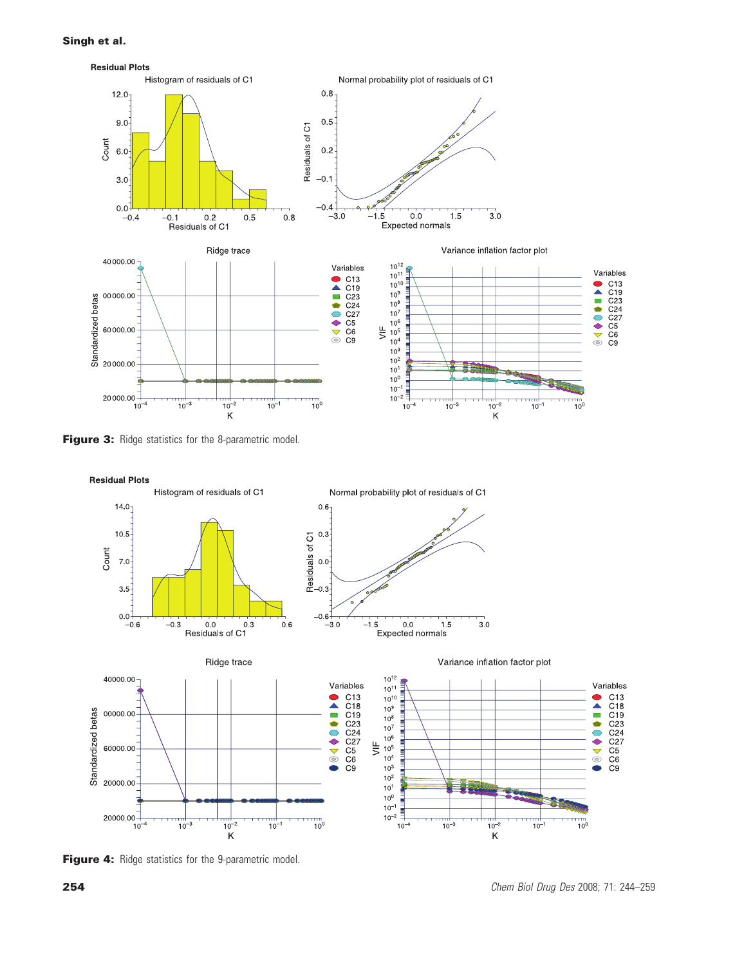

Figure 3: Ridge statistics for the 8-parametric model.



Figure 4: Ridge statistics for the 9-parametric model.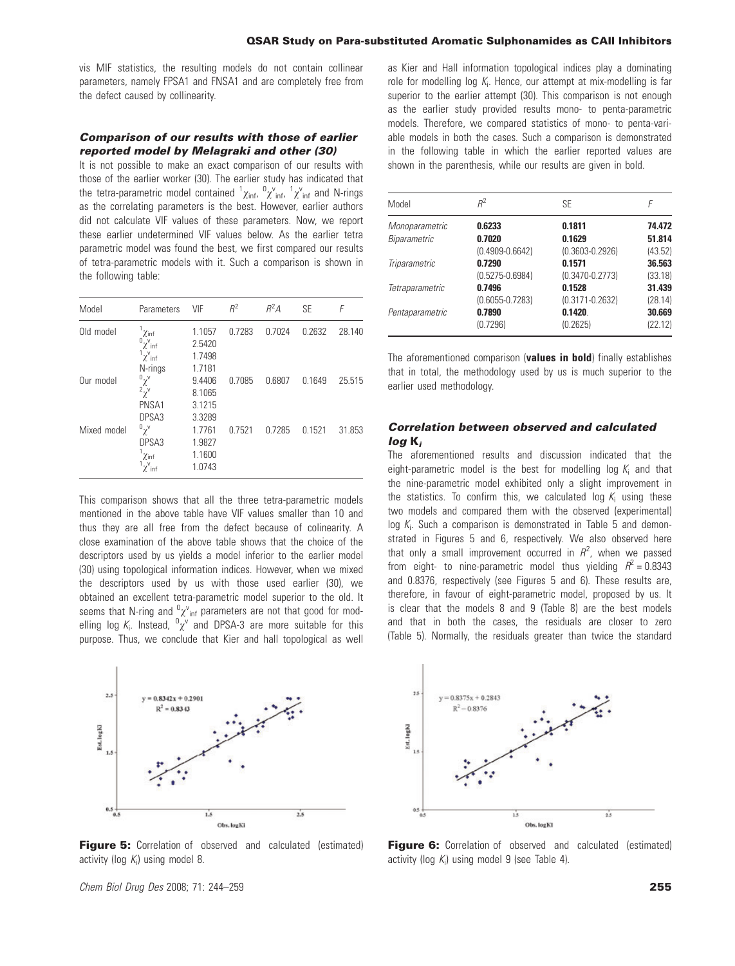vis MIF statistics, the resulting models do not contain collinear parameters, namely FPSA1 and FNSA1 and are completely free from the defect caused by collinearity.

#### Comparison of our results with those of earlier reported model by Melagraki and other (30)

It is not possible to make an exact comparison of our results with those of the earlier worker (30). The earlier study has indicated that the tetra-parametric model contained  ${}^1\chi_{\rm inf}$ ,  ${}^0\chi^{\rm v}_{\rm inf}$ ,  ${}^1\chi^{\rm v}_{\rm inf}$  and N-rings as the correlating parameters is the best. However, earlier authors did not calculate VIF values of these parameters. Now, we report these earlier undetermined VIF values below. As the earlier tetra parametric model was found the best, we first compared our results of tetra-parametric models with it. Such a comparison is shown in the following table:

| Model       | Parameters                                                   | VIF                        | $R^2$  | $R^2A$ | <b>SE</b> | F      |
|-------------|--------------------------------------------------------------|----------------------------|--------|--------|-----------|--------|
| Old model   | $\chi$ inf<br>${}^0\chi^v{}_{\mathsf{inf}}$<br>$1\chi^V$ inf | 1.1057<br>2.5420<br>1.7498 | 0.7283 | 0.7024 | 0.2632    | 28.140 |
| Our model   | N-rings<br>$\alpha_{\chi}$<br>$\chi^2$                       | 1.7181<br>9.4406<br>8.1065 | 0.7085 | 0.6807 | 0.1649    | 25.515 |
| Mixed model | PNSA1<br>DPSA <sub>3</sub><br>$\alpha_{\chi}$                | 3.1215<br>3.3289<br>1.7761 | 0.7521 | 0.7285 | 0.1521    | 31.853 |
|             | DPSA3<br>$\chi$ inf<br>$\chi^V$ inf                          | 1.9827<br>1.1600<br>1.0743 |        |        |           |        |

This comparison shows that all the three tetra-parametric models mentioned in the above table have VIF values smaller than 10 and thus they are all free from the defect because of colinearity. A close examination of the above table shows that the choice of the descriptors used by us yields a model inferior to the earlier model (30) using topological information indices. However, when we mixed the descriptors used by us with those used earlier (30), we obtained an excellent tetra-parametric model superior to the old. It seems that N-ring and  ${}^0\chi^v{}_{\text{inf}}$  parameters are not that good for modelling log  $K_i$ . Instead,  ${}^0\chi^\vee$  and DPSA-3 are more suitable for this purpose. Thus, we conclude that Kier and hall topological as well



**Figure 5:** Correlation of observed and calculated (estimated) activity (log  $K_i$ ) using model 8.

Chem Biol Drug Des 2008; 71: 244–259 255

as Kier and Hall information topological indices play a dominating role for modelling log  $K_i$ . Hence, our attempt at mix-modelling is far superior to the earlier attempt (30). This comparison is not enough as the earlier study provided results mono- to penta-parametric models. Therefore, we compared statistics of mono- to penta-variable models in both the cases. Such a comparison is demonstrated in the following table in which the earlier reported values are shown in the parenthesis, while our results are given in bold.

| Model           | $R^2$               | <b>SE</b>           |         |
|-----------------|---------------------|---------------------|---------|
| Monoparametric  | 0.6233              | 0.1811              | 74.472  |
| Biparametric    | 0.7020              | 0.1629              | 51.814  |
|                 | $(0.4909 - 0.6642)$ | $(0.3603 - 0.2926)$ | (43.52) |
| Triparametric   | 0.7290              | 0.1571              | 36.563  |
|                 | $(0.5275 - 0.6984)$ | $(0.3470 - 0.2773)$ | (33.18) |
| Tetraparametric | 0.7496              | 0.1528              | 31.439  |
|                 | $(0.6055 - 0.7283)$ | $(0.3171 - 0.2632)$ | (28.14) |
| Pentaparametric | 0.7890              | 0.1420.             | 30.669  |
|                 | (0.7296)            | (0.2625)            | (22.12) |

The aforementioned comparison (values in bold) finally establishes that in total, the methodology used by us is much superior to the earlier used methodology.

#### Correlation between observed and calculated log K<sub>i</sub>

The aforementioned results and discussion indicated that the eight-parametric model is the best for modelling log  $K_i$  and that the nine-parametric model exhibited only a slight improvement in the statistics. To confirm this, we calculated log  $K_i$  using these two models and compared them with the observed (experimental)  $log K<sub>i</sub>$ . Such a comparison is demonstrated in Table 5 and demonstrated in Figures 5 and 6, respectively. We also observed here that only a small improvement occurred in  $R^2$ , when we passed from eight- to nine-parametric model thus yielding  $\vec{R}^2 = 0.8343$ and 0.8376, respectively (see Figures 5 and 6). These results are, therefore, in favour of eight-parametric model, proposed by us. It is clear that the models 8 and 9 (Table 8) are the best models and that in both the cases, the residuals are closer to zero (Table 5). Normally, the residuals greater than twice the standard



**Figure 6:** Correlation of observed and calculated (estimated) activity (log  $K_i$ ) using model 9 (see Table 4).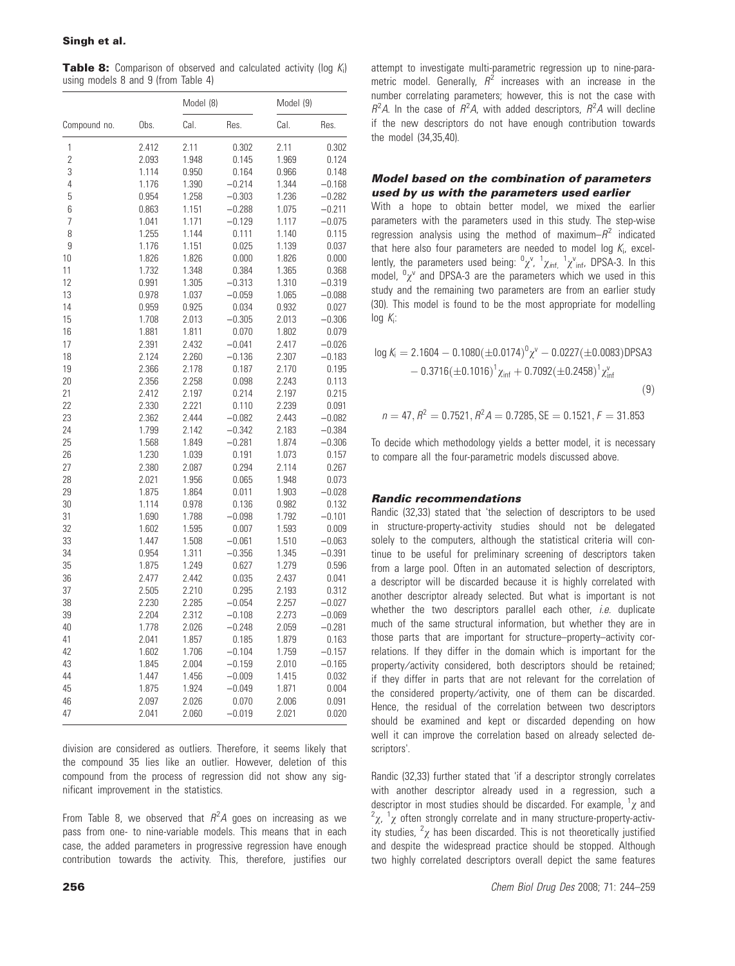**Table 8:** Comparison of observed and calculated activity (log K;) using models 8 and 9 (from Table 4)

|                |       | Model (8) |          | Model (9) |          |
|----------------|-------|-----------|----------|-----------|----------|
| Compound no.   | Obs.  | Cal.      | Res.     | Cal.      | Res.     |
| 1              | 2.412 | 2.11      | 0.302    | 2.11      | 0.302    |
| $\overline{c}$ | 2.093 | 1.948     | 0.145    | 1.969     | 0.124    |
| 3              | 1.114 | 0.950     | 0.164    | 0.966     | 0.148    |
| 4              | 1.176 | 1.390     | $-0.214$ | 1.344     | $-0.168$ |
| 5              | 0.954 | 1.258     | $-0.303$ | 1.236     | $-0.282$ |
| 6              | 0.863 | 1.151     | $-0.288$ | 1.075     | $-0.211$ |
| 7              | 1.041 | 1.171     | $-0.129$ | 1.117     | $-0.075$ |
| 8              | 1.255 | 1.144     | 0.111    | 1.140     | 0.115    |
| 9              | 1.176 | 1.151     | 0.025    | 1.139     | 0.037    |
| 10             | 1.826 | 1.826     | 0.000    | 1.826     | 0.000    |
| 11             | 1.732 | 1.348     | 0.384    | 1.365     | 0.368    |
| 12             | 0.991 | 1.305     | $-0.313$ | 1.310     | $-0.319$ |
| 13             | 0.978 | 1.037     | $-0.059$ | 1.065     | $-0.088$ |
| 14             | 0.959 | 0.925     | 0.034    | 0.932     | 0.027    |
| 15             | 1.708 | 2.013     | $-0.305$ | 2.013     | $-0.306$ |
| 16             | 1.881 | 1.811     | 0.070    | 1.802     | 0.079    |
| 17             | 2.391 | 2.432     | $-0.041$ | 2.417     | $-0.026$ |
| 18             | 2.124 | 2.260     | $-0.136$ | 2.307     | $-0.183$ |
| 19             | 2.366 | 2.178     | 0.187    | 2.170     | 0.195    |
| 20             | 2.356 | 2.258     | 0.098    | 2.243     | 0.113    |
| 21             | 2.412 | 2.197     | 0.214    | 2.197     | 0.215    |
| 22             | 2.330 | 2.221     | 0.110    | 2.239     | 0.091    |
| 23             | 2.362 | 2.444     | $-0.082$ | 2.443     | $-0.082$ |
| 24             | 1.799 | 2.142     | $-0.342$ | 2.183     | $-0.384$ |
| 25             | 1.568 | 1.849     | $-0.281$ | 1.874     | $-0.306$ |
| 26             | 1.230 | 1.039     | 0.191    | 1.073     | 0.157    |
| 27             | 2.380 | 2.087     | 0.294    | 2.114     | 0.267    |
| 28             | 2.021 | 1.956     | 0.065    | 1.948     | 0.073    |
| 29             | 1.875 | 1.864     | 0.011    | 1.903     | $-0.028$ |
| 30             | 1.114 | 0.978     | 0.136    | 0.982     | 0.132    |
| 31             | 1.690 | 1.788     | $-0.098$ | 1.792     | $-0.101$ |
| 32             | 1.602 | 1.595     | 0.007    | 1.593     | 0.009    |
| 33             | 1.447 | 1.508     | $-0.061$ | 1.510     | $-0.063$ |
| 34             | 0.954 | 1.311     | $-0.356$ | 1.345     | $-0.391$ |
| 35             | 1.875 | 1.249     | 0.627    | 1.279     | 0.596    |
| 36             | 2.477 | 2.442     | 0.035    | 2.437     | 0.041    |
| 37             | 2.505 | 2.210     | 0.295    | 2.193     | 0.312    |
| 38             | 2.230 | 2.285     | $-0.054$ | 2.257     | $-0.027$ |
| 39             | 2.204 | 2.312     | $-0.108$ | 2.273     | $-0.069$ |
| 40             | 1.778 | 2.026     | $-0.248$ | 2.059     | $-0.281$ |
| 41             | 2.041 | 1.857     | 0.185    | 1.879     | 0.163    |
| 42             | 1.602 | 1.706     | $-0.104$ | 1.759     | $-0.157$ |
| 43             | 1.845 | 2.004     | $-0.159$ | 2.010     | $-0.165$ |
| 44             | 1.447 | 1.456     | $-0.009$ | 1.415     | 0.032    |
| 45             | 1.875 | 1.924     | $-0.049$ | 1.871     | 0.004    |
| 46             | 2.097 | 2.026     | 0.070    | 2.006     | 0.091    |
| 47             | 2.041 | 2.060     | $-0.019$ | 2.021     | 0.020    |
|                |       |           |          |           |          |

division are considered as outliers. Therefore, it seems likely that the compound 35 lies like an outlier. However, deletion of this compound from the process of regression did not show any significant improvement in the statistics.

From Table 8, we observed that  $R^2A$  goes on increasing as we pass from one- to nine-variable models. This means that in each case, the added parameters in progressive regression have enough contribution towards the activity. This, therefore, justifies our

attempt to investigate multi-parametric regression up to nine-parametric model. Generally,  $R^2$  increases with an increase in the number correlating parameters; however, this is not the case with  $R^2A$ . In the case of  $R^2A$ , with added descriptors,  $R^2A$  will decline if the new descriptors do not have enough contribution towards the model (34,35,40).

#### Model based on the combination of parameters used by us with the parameters used earlier

With a hope to obtain better model, we mixed the earlier parameters with the parameters used in this study. The step-wise regression analysis using the method of maximum– $R^2$  indicated that here also four parameters are needed to model log  $K_i$ , excellently, the parameters used being:  ${}^0\chi^v$ ,  ${}^1\chi_{\text{inf,}}$   ${}^1\chi^v_{\text{inf,}}$  DPSA-3. In this model,  ${}^{0}\chi^{\nu}$  and DPSA-3 are the parameters which we used in this study and the remaining two parameters are from an earlier study (30). This model is found to be the most appropriate for modelling  $log K_i$ :

$$
\log K_{i} = 2.1604 - 0.1080(\pm 0.0174)^{0} \chi^{\nu} - 0.0227(\pm 0.0083) \text{DPSA3} - 0.3716(\pm 0.1016)^{1} \chi_{\text{inf}} + 0.7092(\pm 0.2458)^{1} \chi_{\text{inf}}^{\nu}
$$
(9)

 $n = 47, R^2 = 0.7521, R^2A = 0.7285, SE = 0.1521, F = 31.853$ 

To decide which methodology yields a better model, it is necessary to compare all the four-parametric models discussed above.

#### Randic recommendations

Randic (32,33) stated that 'the selection of descriptors to be used in structure-property-activity studies should not be delegated solely to the computers, although the statistical criteria will continue to be useful for preliminary screening of descriptors taken from a large pool. Often in an automated selection of descriptors, a descriptor will be discarded because it is highly correlated with another descriptor already selected. But what is important is not whether the two descriptors parallel each other, *i.e.* duplicate much of the same structural information, but whether they are in those parts that are important for structure–property–activity correlations. If they differ in the domain which is important for the property⁄ activity considered, both descriptors should be retained; if they differ in parts that are not relevant for the correlation of the considered property⁄ activity, one of them can be discarded. Hence, the residual of the correlation between two descriptors should be examined and kept or discarded depending on how well it can improve the correlation based on already selected descriptors'.

Randic (32,33) further stated that 'if a descriptor strongly correlates with another descriptor already used in a regression, such a descriptor in most studies should be discarded. For example,  $\frac{1}{\chi}$  and  $\frac{2}{\chi}$  and  $\frac{1}{\chi}$  often strongly correlate and in many structure proporty active  $\chi$ ,  $\chi$  often strongly correlate and in many structure-property-activity studies,  $^2\chi$  has been discarded. This is not theoretically justified and despite the widespread practice should be stopped. Although two highly correlated descriptors overall depict the same features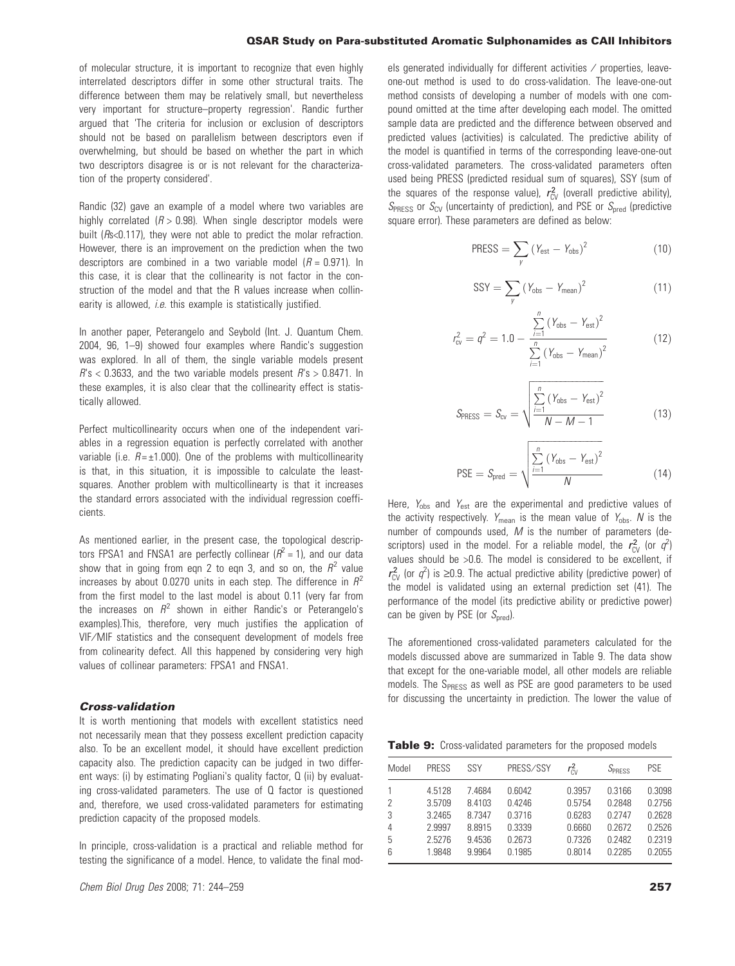of molecular structure, it is important to recognize that even highly interrelated descriptors differ in some other structural traits. The difference between them may be relatively small, but nevertheless very important for structure–property regression'. Randic further argued that 'The criteria for inclusion or exclusion of descriptors should not be based on parallelism between descriptors even if overwhelming, but should be based on whether the part in which two descriptors disagree is or is not relevant for the characterization of the property considered'.

Randic (32) gave an example of a model where two variables are highly correlated  $(R > 0.98)$ . When single descriptor models were built (Rs<0.117), they were not able to predict the molar refraction. However, there is an improvement on the prediction when the two descriptors are combined in a two variable model  $(R = 0.971)$ . In this case, it is clear that the collinearity is not factor in the construction of the model and that the R values increase when collinearity is allowed, *i.e.* this example is statistically justified.

In another paper, Peterangelo and Seybold (Int. J. Quantum Chem. 2004, 96, 1–9) showed four examples where Randic's suggestion was explored. In all of them, the single variable models present  $R$ 's < 0.3633, and the two variable models present  $R$ 's > 0.8471. In these examples, it is also clear that the collinearity effect is statistically allowed.

Perfect multicollinearity occurs when one of the independent variables in a regression equation is perfectly correlated with another variable (i.e.  $R = \pm 1.000$ ). One of the problems with multicollinearity is that, in this situation, it is impossible to calculate the leastsquares. Another problem with multicollinearty is that it increases the standard errors associated with the individual regression coefficients.

As mentioned earlier, in the present case, the topological descriptors FPSA1 and FNSA1 are perfectly collinear  $(R^2 = 1)$ , and our data show that in going from eqn 2 to eqn 3, and so on, the  $R^2$  value increases by about 0.0270 units in each step. The difference in  $R^2$ from the first model to the last model is about 0.11 (very far from the increases on  $R^2$  shown in either Randic's or Peterangelo's examples).This, therefore, very much justifies the application of VIF⁄ MIF statistics and the consequent development of models free from colinearity defect. All this happened by considering very high values of collinear parameters: FPSA1 and FNSA1.

#### Cross-validation

It is worth mentioning that models with excellent statistics need not necessarily mean that they possess excellent prediction capacity also. To be an excellent model, it should have excellent prediction capacity also. The prediction capacity can be judged in two different ways: (i) by estimating Pogliani's quality factor, Q (ii) by evaluating cross-validated parameters. The use of Q factor is questioned and, therefore, we used cross-validated parameters for estimating prediction capacity of the proposed models.

In principle, cross-validation is a practical and reliable method for testing the significance of a model. Hence, to validate the final models generated individually for different activities / properties, leaveone-out method is used to do cross-validation. The leave-one-out method consists of developing a number of models with one compound omitted at the time after developing each model. The omitted sample data are predicted and the difference between observed and predicted values (activities) is calculated. The predictive ability of the model is quantified in terms of the corresponding leave-one-out cross-validated parameters. The cross-validated parameters often used being PRESS (predicted residual sum of squares), SSY (sum of the squares of the response value),  $r_{CV}^2$  (overall predictive ability),  $S_{\text{PRESS}}$  or  $S_{\text{CV}}$  (uncertainty of prediction), and PSE or  $S_{\text{pred}}$  (predictive square error). These parameters are defined as below:

$$
PRESS = \sum_{y} (Y_{est} - Y_{obs})^2
$$
 (10)

$$
SSY = \sum_{y} (Y_{obs} - Y_{mean})^2
$$
 (11)

$$
r_{\text{cv}}^2 = q^2 = 1.0 - \frac{\sum_{i=1}^{n} (Y_{\text{obs}} - Y_{\text{est}})^2}{\sum_{i=1}^{n} (Y_{\text{obs}} - Y_{\text{mean}})^2}
$$
(12)

$$
S_{PRESS} = S_{cv} = \sqrt{\frac{\sum_{i=1}^{n} (Y_{obs} - Y_{est})^2}{N - M - 1}}
$$
(13)

$$
PSE = S_{pred} = \sqrt{\frac{\sum_{i=1}^{n} (Y_{obs} - Y_{est})^2}{N}}
$$
(14)

Here,  $Y_{\text{obs}}$  and  $Y_{\text{est}}$  are the experimental and predictive values of the activity respectively.  $Y_{\text{mean}}$  is the mean value of  $Y_{\text{obs}}$ . N is the number of compounds used,  $M$  is the number of parameters (descriptors) used in the model. For a reliable model, the  $r_{CV}^2$  (or  $q^2$ ) values should be >0.6. The model is considered to be excellent, if  $r_{\text{CV}}^2$  (or  $q^2$ ) is  $\geq$ 0.9. The actual predictive ability (predictive power) of the model is validated using an external prediction set (41). The performance of the model (its predictive ability or predictive power) can be given by PSE (or  $S_{\text{pred}}$ ).

The aforementioned cross-validated parameters calculated for the models discussed above are summarized in Table 9. The data show that except for the one-variable model, all other models are reliable models. The S<sub>PRESS</sub> as well as PSE are good parameters to be used for discussing the uncertainty in prediction. The lower the value of

Table 9: Cross-validated parameters for the proposed models

| Model | <b>PRESS</b> | SSY    | PRESS/SSY | $r_{\rm FV}^2$ | SPRESS | <b>PSE</b> |
|-------|--------------|--------|-----------|----------------|--------|------------|
|       | 4.5128       | 7.4684 | 0.6042    | 0.3957         | 0.3166 | 0.3098     |
| 2     | 3.5709       | 8.4103 | 0.4246    | 0.5754         | 0.2848 | 0.2756     |
| 3     | 3.2465       | 8.7347 | 0.3716    | 0.6283         | 0.2747 | 0.2628     |
| 4     | 2.9997       | 8.8915 | 0.3339    | 0.6660         | 0.2672 | 0.2526     |
| 5     | 2.5276       | 9.4536 | 0.2673    | 0.7326         | 0.2482 | 0.2319     |
| 6     | 1.9848       | 9.9964 | 0.1985    | 0.8014         | 0 2285 | 0.2055     |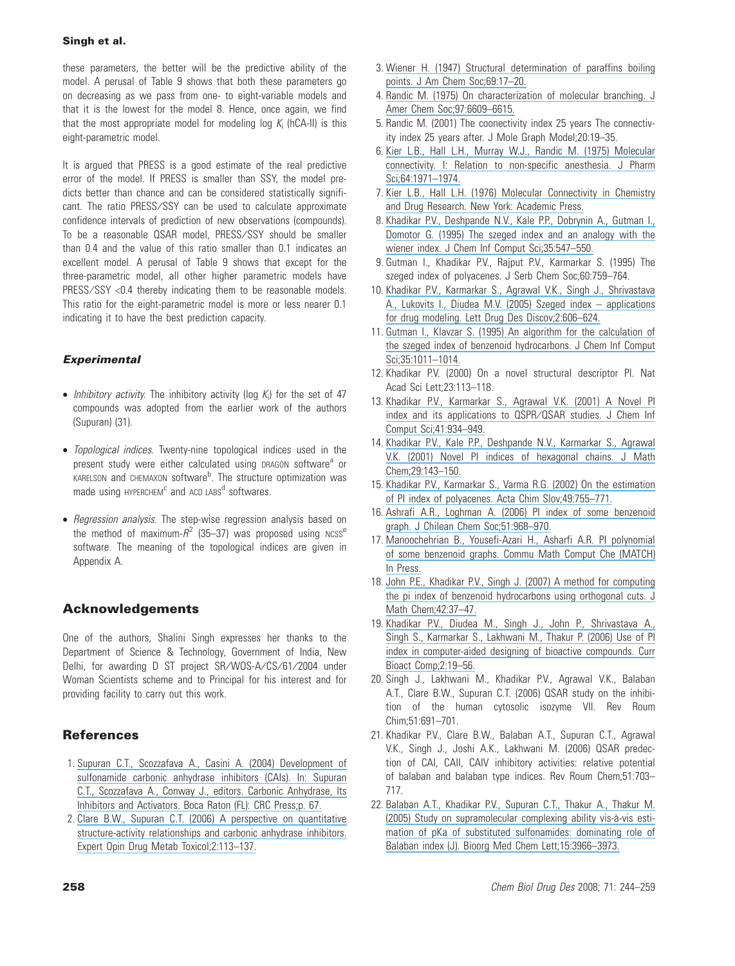these parameters, the better will be the predictive ability of the model. A perusal of Table 9 shows that both these parameters go on decreasing as we pass from one- to eight-variable models and that it is the lowest for the model 8. Hence, once again, we find that the most appropriate model for modeling log  $K_i$  (hCA-II) is this eight-parametric model.

It is argued that PRESS is a good estimate of the real predictive error of the model. If PRESS is smaller than SSY, the model predicts better than chance and can be considered statistically significant. The ratio PRESS/SSY can be used to calculate approximate confidence intervals of prediction of new observations (compounds). To be a reasonable QSAR model, PRESS/SSY should be smaller than 0.4 and the value of this ratio smaller than 0.1 indicates an excellent model. A perusal of Table 9 shows that except for the three-parametric model, all other higher parametric models have PRESS/SSY <0.4 thereby indicating them to be reasonable models. This ratio for the eight-parametric model is more or less nearer 0.1 indicating it to have the best prediction capacity.

#### **Experimental**

- Inhibitory activity. The inhibitory activity (log  $K_i$ ) for the set of 47 compounds was adopted from the earlier work of the authors (Supuran) (31).
- Topological indices. Twenty-nine topological indices used in the present study were either calculated using DRAGON software<sup>a</sup> or KARELSON and CHEMAXON software<sup>b</sup>. The structure optimization was made using HYPERCHEM<sup>c</sup> and ACD LABS<sup>d</sup> softwares.
- Regression analysis. The step-wise regression analysis based on the method of maximum- $R^2$  (35-37) was proposed using NCSS<sup>e</sup> software. The meaning of the topological indices are given in Appendix A.

#### Acknowledgements

One of the authors, Shalini Singh expresses her thanks to the Department of Science & Technology, Government of India, New Delhi, for awarding D ST project SR/WOS-A/CS/61/2004 under Woman Scientists scheme and to Principal for his interest and for providing facility to carry out this work.

#### **References**

- 1. [Supuran C.T., Scozzafava A., Casini A. \(2004\) Development of](https://www.researchgate.net/publication/285970258_Development_of_sulfonamide_carbonic_anhydrase_inhibitors_CAIs?el=1_x_8&enrichId=rgreq-2e58187b44d4a6fad8f9fd10e35afe98-XXX&enrichSource=Y292ZXJQYWdlOzU2MzExMTk7QVM6OTk0NjAxNjQwOTYwMTNAMTQwMDcyNDU1OTczMA==) [sulfonamide carbonic anhydrase inhibitors \(CAIs\). In: Supuran](https://www.researchgate.net/publication/285970258_Development_of_sulfonamide_carbonic_anhydrase_inhibitors_CAIs?el=1_x_8&enrichId=rgreq-2e58187b44d4a6fad8f9fd10e35afe98-XXX&enrichSource=Y292ZXJQYWdlOzU2MzExMTk7QVM6OTk0NjAxNjQwOTYwMTNAMTQwMDcyNDU1OTczMA==) [C.T., Scozzafava A., Conway J., editors. Carbonic Anhydrase, Its](https://www.researchgate.net/publication/285970258_Development_of_sulfonamide_carbonic_anhydrase_inhibitors_CAIs?el=1_x_8&enrichId=rgreq-2e58187b44d4a6fad8f9fd10e35afe98-XXX&enrichSource=Y292ZXJQYWdlOzU2MzExMTk7QVM6OTk0NjAxNjQwOTYwMTNAMTQwMDcyNDU1OTczMA==) [Inhibitors and Activators. Boca Raton \(FL\): CRC Press;p. 67.](https://www.researchgate.net/publication/285970258_Development_of_sulfonamide_carbonic_anhydrase_inhibitors_CAIs?el=1_x_8&enrichId=rgreq-2e58187b44d4a6fad8f9fd10e35afe98-XXX&enrichSource=Y292ZXJQYWdlOzU2MzExMTk7QVM6OTk0NjAxNjQwOTYwMTNAMTQwMDcyNDU1OTczMA==)
- 2. [Clare B.W., Supuran C.T. \(2006\) A perspective on quantitative](https://www.researchgate.net/publication/6923572_A_perspective_on_quantitative_structure-activity_relationships_and_carbonic_anhydrase_inhibitors?el=1_x_8&enrichId=rgreq-2e58187b44d4a6fad8f9fd10e35afe98-XXX&enrichSource=Y292ZXJQYWdlOzU2MzExMTk7QVM6OTk0NjAxNjQwOTYwMTNAMTQwMDcyNDU1OTczMA==) [structure-activity relationships and carbonic anhydrase inhibitors.](https://www.researchgate.net/publication/6923572_A_perspective_on_quantitative_structure-activity_relationships_and_carbonic_anhydrase_inhibitors?el=1_x_8&enrichId=rgreq-2e58187b44d4a6fad8f9fd10e35afe98-XXX&enrichSource=Y292ZXJQYWdlOzU2MzExMTk7QVM6OTk0NjAxNjQwOTYwMTNAMTQwMDcyNDU1OTczMA==) [Expert Opin Drug Metab Toxicol;2:113–137.](https://www.researchgate.net/publication/6923572_A_perspective_on_quantitative_structure-activity_relationships_and_carbonic_anhydrase_inhibitors?el=1_x_8&enrichId=rgreq-2e58187b44d4a6fad8f9fd10e35afe98-XXX&enrichSource=Y292ZXJQYWdlOzU2MzExMTk7QVM6OTk0NjAxNjQwOTYwMTNAMTQwMDcyNDU1OTczMA==)
- 3. [Wiener H. \(1947\) Structural determination of paraffins boiling](https://www.researchgate.net/publication/42309069_Structural_Determination_of_Paraffin_Boiling_Points?el=1_x_8&enrichId=rgreq-2e58187b44d4a6fad8f9fd10e35afe98-XXX&enrichSource=Y292ZXJQYWdlOzU2MzExMTk7QVM6OTk0NjAxNjQwOTYwMTNAMTQwMDcyNDU1OTczMA==) [points. J Am Chem Soc;69:17–20.](https://www.researchgate.net/publication/42309069_Structural_Determination_of_Paraffin_Boiling_Points?el=1_x_8&enrichId=rgreq-2e58187b44d4a6fad8f9fd10e35afe98-XXX&enrichSource=Y292ZXJQYWdlOzU2MzExMTk7QVM6OTk0NjAxNjQwOTYwMTNAMTQwMDcyNDU1OTczMA==)
- 4. [Randic M. \(1975\) On characterization of molecular branching. J](https://www.researchgate.net/publication/231473566_On_Characterization_of_Molecular_Branching?el=1_x_8&enrichId=rgreq-2e58187b44d4a6fad8f9fd10e35afe98-XXX&enrichSource=Y292ZXJQYWdlOzU2MzExMTk7QVM6OTk0NjAxNjQwOTYwMTNAMTQwMDcyNDU1OTczMA==) [Amer Chem Soc;97:6609–6615.](https://www.researchgate.net/publication/231473566_On_Characterization_of_Molecular_Branching?el=1_x_8&enrichId=rgreq-2e58187b44d4a6fad8f9fd10e35afe98-XXX&enrichSource=Y292ZXJQYWdlOzU2MzExMTk7QVM6OTk0NjAxNjQwOTYwMTNAMTQwMDcyNDU1OTczMA==)
- 5. Randic M. (2001) The coonectivity index 25 years The connectivity index 25 years after. J Mole Graph Model;20:19–35.
- 6. [Kier L.B., Hall L.H., Murray W.J., Randic M. \(1975\) Molecular](https://www.researchgate.net/publication/21948145_Molecular_Connectivity_I_Relationship_to_Nonspecific_Local_Anesthesia?el=1_x_8&enrichId=rgreq-2e58187b44d4a6fad8f9fd10e35afe98-XXX&enrichSource=Y292ZXJQYWdlOzU2MzExMTk7QVM6OTk0NjAxNjQwOTYwMTNAMTQwMDcyNDU1OTczMA==) [connectivity. I: Relation to non-specific anesthesia. J Pharm](https://www.researchgate.net/publication/21948145_Molecular_Connectivity_I_Relationship_to_Nonspecific_Local_Anesthesia?el=1_x_8&enrichId=rgreq-2e58187b44d4a6fad8f9fd10e35afe98-XXX&enrichSource=Y292ZXJQYWdlOzU2MzExMTk7QVM6OTk0NjAxNjQwOTYwMTNAMTQwMDcyNDU1OTczMA==) [Sci;64:1971–1974.](https://www.researchgate.net/publication/21948145_Molecular_Connectivity_I_Relationship_to_Nonspecific_Local_Anesthesia?el=1_x_8&enrichId=rgreq-2e58187b44d4a6fad8f9fd10e35afe98-XXX&enrichSource=Y292ZXJQYWdlOzU2MzExMTk7QVM6OTk0NjAxNjQwOTYwMTNAMTQwMDcyNDU1OTczMA==)
- 7. [Kier L.B., Hall L.H. \(1976\) Molecular Connectivity in Chemistry](https://www.researchgate.net/publication/246863675_Medical_Chemistry_Vol_14_Molecular_Connectivity_in_Chemistry_and_Drug_Research?el=1_x_8&enrichId=rgreq-2e58187b44d4a6fad8f9fd10e35afe98-XXX&enrichSource=Y292ZXJQYWdlOzU2MzExMTk7QVM6OTk0NjAxNjQwOTYwMTNAMTQwMDcyNDU1OTczMA==) [and Drug Research. New York: Academic Press.](https://www.researchgate.net/publication/246863675_Medical_Chemistry_Vol_14_Molecular_Connectivity_in_Chemistry_and_Drug_Research?el=1_x_8&enrichId=rgreq-2e58187b44d4a6fad8f9fd10e35afe98-XXX&enrichSource=Y292ZXJQYWdlOzU2MzExMTk7QVM6OTk0NjAxNjQwOTYwMTNAMTQwMDcyNDU1OTczMA==)
- 8. [Khadikar P.V., Deshpande N.V., Kale P.P., Dobrynin A., Gutman I.,](https://www.researchgate.net/publication/220524285_The_Szeged_Index_and_an_Analogy_with_the_Wiener_Index?el=1_x_8&enrichId=rgreq-2e58187b44d4a6fad8f9fd10e35afe98-XXX&enrichSource=Y292ZXJQYWdlOzU2MzExMTk7QVM6OTk0NjAxNjQwOTYwMTNAMTQwMDcyNDU1OTczMA==) [Domotor G. \(1995\) The szeged index and an analogy with the](https://www.researchgate.net/publication/220524285_The_Szeged_Index_and_an_Analogy_with_the_Wiener_Index?el=1_x_8&enrichId=rgreq-2e58187b44d4a6fad8f9fd10e35afe98-XXX&enrichSource=Y292ZXJQYWdlOzU2MzExMTk7QVM6OTk0NjAxNjQwOTYwMTNAMTQwMDcyNDU1OTczMA==) [wiener index. J Chem Inf Comput Sci;35:547–550.](https://www.researchgate.net/publication/220524285_The_Szeged_Index_and_an_Analogy_with_the_Wiener_Index?el=1_x_8&enrichId=rgreq-2e58187b44d4a6fad8f9fd10e35afe98-XXX&enrichSource=Y292ZXJQYWdlOzU2MzExMTk7QVM6OTk0NjAxNjQwOTYwMTNAMTQwMDcyNDU1OTczMA==)
- 9. Gutman I., Khadikar P.V., Rajput P.V., Karmarkar S. (1995) The szeged index of polyacenes. J Serb Chem Soc;60:759–764.
- 10. [Khadikar P.V., Karmarkar S., Agrawal V.K., Singh J., Shrivastava](https://www.researchgate.net/publication/233683186_Szeged_Index_-_Applications_for_Drug_Modeling?el=1_x_8&enrichId=rgreq-2e58187b44d4a6fad8f9fd10e35afe98-XXX&enrichSource=Y292ZXJQYWdlOzU2MzExMTk7QVM6OTk0NjAxNjQwOTYwMTNAMTQwMDcyNDU1OTczMA==) [A., Lukovits I., Diudea M.V. \(2005\) Szeged index – applications](https://www.researchgate.net/publication/233683186_Szeged_Index_-_Applications_for_Drug_Modeling?el=1_x_8&enrichId=rgreq-2e58187b44d4a6fad8f9fd10e35afe98-XXX&enrichSource=Y292ZXJQYWdlOzU2MzExMTk7QVM6OTk0NjAxNjQwOTYwMTNAMTQwMDcyNDU1OTczMA==) [for drug modeling. Lett Drug Des Discov;2:606–624.](https://www.researchgate.net/publication/233683186_Szeged_Index_-_Applications_for_Drug_Modeling?el=1_x_8&enrichId=rgreq-2e58187b44d4a6fad8f9fd10e35afe98-XXX&enrichSource=Y292ZXJQYWdlOzU2MzExMTk7QVM6OTk0NjAxNjQwOTYwMTNAMTQwMDcyNDU1OTczMA==)
- 11. [Gutman I., Klavzar S. \(1995\) An algorithm for the calculation of](https://www.researchgate.net/publication/220522870_An_Algorithm_for_the_Calculation_of_the_Szeged_Index_of_Benzenoid_Hydrocarbons?el=1_x_8&enrichId=rgreq-2e58187b44d4a6fad8f9fd10e35afe98-XXX&enrichSource=Y292ZXJQYWdlOzU2MzExMTk7QVM6OTk0NjAxNjQwOTYwMTNAMTQwMDcyNDU1OTczMA==) [the szeged index of benzenoid hydrocarbons. J Chem Inf Comput](https://www.researchgate.net/publication/220522870_An_Algorithm_for_the_Calculation_of_the_Szeged_Index_of_Benzenoid_Hydrocarbons?el=1_x_8&enrichId=rgreq-2e58187b44d4a6fad8f9fd10e35afe98-XXX&enrichSource=Y292ZXJQYWdlOzU2MzExMTk7QVM6OTk0NjAxNjQwOTYwMTNAMTQwMDcyNDU1OTczMA==) [Sci;35:1011–1014.](https://www.researchgate.net/publication/220522870_An_Algorithm_for_the_Calculation_of_the_Szeged_Index_of_Benzenoid_Hydrocarbons?el=1_x_8&enrichId=rgreq-2e58187b44d4a6fad8f9fd10e35afe98-XXX&enrichSource=Y292ZXJQYWdlOzU2MzExMTk7QVM6OTk0NjAxNjQwOTYwMTNAMTQwMDcyNDU1OTczMA==)
- 12. Khadikar P.V. (2000) On a novel structural descriptor PI. Nat Acad Sci Lett;23:113–118.
- 13. [Khadikar P.V., Karmarkar S., Agrawal V.K. \(2001\) A Novel PI](https://www.researchgate.net/publication/11845008_A_novel_PI_index_and_its_applications_to_QSPRQSAR_studies?el=1_x_8&enrichId=rgreq-2e58187b44d4a6fad8f9fd10e35afe98-XXX&enrichSource=Y292ZXJQYWdlOzU2MzExMTk7QVM6OTk0NjAxNjQwOTYwMTNAMTQwMDcyNDU1OTczMA==) [index and its applications to QSPR](https://www.researchgate.net/publication/11845008_A_novel_PI_index_and_its_applications_to_QSPRQSAR_studies?el=1_x_8&enrichId=rgreq-2e58187b44d4a6fad8f9fd10e35afe98-XXX&enrichSource=Y292ZXJQYWdlOzU2MzExMTk7QVM6OTk0NjAxNjQwOTYwMTNAMTQwMDcyNDU1OTczMA==)/QSAR studies. J Chem Inf [Comput Sci;41:934–949.](https://www.researchgate.net/publication/11845008_A_novel_PI_index_and_its_applications_to_QSPRQSAR_studies?el=1_x_8&enrichId=rgreq-2e58187b44d4a6fad8f9fd10e35afe98-XXX&enrichSource=Y292ZXJQYWdlOzU2MzExMTk7QVM6OTk0NjAxNjQwOTYwMTNAMTQwMDcyNDU1OTczMA==)
- 14. [Khadikar P.V., Kale P.P., Deshpande N.V., Karmarkar S., Agrawal](https://www.researchgate.net/publication/226344738_Novel_PI_Indices_of_Hexagonal_Chains?el=1_x_8&enrichId=rgreq-2e58187b44d4a6fad8f9fd10e35afe98-XXX&enrichSource=Y292ZXJQYWdlOzU2MzExMTk7QVM6OTk0NjAxNjQwOTYwMTNAMTQwMDcyNDU1OTczMA==) [V.K. \(2001\) Novel PI indices of hexagonal chains. J Math](https://www.researchgate.net/publication/226344738_Novel_PI_Indices_of_Hexagonal_Chains?el=1_x_8&enrichId=rgreq-2e58187b44d4a6fad8f9fd10e35afe98-XXX&enrichSource=Y292ZXJQYWdlOzU2MzExMTk7QVM6OTk0NjAxNjQwOTYwMTNAMTQwMDcyNDU1OTczMA==) [Chem;29:143–150.](https://www.researchgate.net/publication/226344738_Novel_PI_Indices_of_Hexagonal_Chains?el=1_x_8&enrichId=rgreq-2e58187b44d4a6fad8f9fd10e35afe98-XXX&enrichSource=Y292ZXJQYWdlOzU2MzExMTk7QVM6OTk0NjAxNjQwOTYwMTNAMTQwMDcyNDU1OTczMA==)
- 15. [Khadikar P.V., Karmarkar S., Varma R.G. \(2002\) On the estimation](https://www.researchgate.net/publication/255631977_On_the_estimation_of_PI_index_of_polyacenes?el=1_x_8&enrichId=rgreq-2e58187b44d4a6fad8f9fd10e35afe98-XXX&enrichSource=Y292ZXJQYWdlOzU2MzExMTk7QVM6OTk0NjAxNjQwOTYwMTNAMTQwMDcyNDU1OTczMA==) [of PI index of polyacenes. Acta Chim Slov;49:755–771.](https://www.researchgate.net/publication/255631977_On_the_estimation_of_PI_index_of_polyacenes?el=1_x_8&enrichId=rgreq-2e58187b44d4a6fad8f9fd10e35afe98-XXX&enrichSource=Y292ZXJQYWdlOzU2MzExMTk7QVM6OTk0NjAxNjQwOTYwMTNAMTQwMDcyNDU1OTczMA==)
- 16. [Ashrafi A.R., Loghman A. \(2006\) PI index of some benzenoid](https://www.researchgate.net/publication/244781565_PI_index_of_some_benzenoid_graph?el=1_x_8&enrichId=rgreq-2e58187b44d4a6fad8f9fd10e35afe98-XXX&enrichSource=Y292ZXJQYWdlOzU2MzExMTk7QVM6OTk0NjAxNjQwOTYwMTNAMTQwMDcyNDU1OTczMA==) [graph. J Chilean Chem Soc;51:968–970.](https://www.researchgate.net/publication/244781565_PI_index_of_some_benzenoid_graph?el=1_x_8&enrichId=rgreq-2e58187b44d4a6fad8f9fd10e35afe98-XXX&enrichSource=Y292ZXJQYWdlOzU2MzExMTk7QVM6OTk0NjAxNjQwOTYwMTNAMTQwMDcyNDU1OTczMA==)
- 17. [Manoochehrian B., Yousefi-Azari H., Asharfi A.R. PI polynomial](https://www.researchgate.net/publication/266909712_PI_polynomial_of_some_benzenoid_traphs?el=1_x_8&enrichId=rgreq-2e58187b44d4a6fad8f9fd10e35afe98-XXX&enrichSource=Y292ZXJQYWdlOzU2MzExMTk7QVM6OTk0NjAxNjQwOTYwMTNAMTQwMDcyNDU1OTczMA==) [of some benzenoid graphs. Commu Math Comput Che \(MATCH\)](https://www.researchgate.net/publication/266909712_PI_polynomial_of_some_benzenoid_traphs?el=1_x_8&enrichId=rgreq-2e58187b44d4a6fad8f9fd10e35afe98-XXX&enrichSource=Y292ZXJQYWdlOzU2MzExMTk7QVM6OTk0NjAxNjQwOTYwMTNAMTQwMDcyNDU1OTczMA==) [In Press.](https://www.researchgate.net/publication/266909712_PI_polynomial_of_some_benzenoid_traphs?el=1_x_8&enrichId=rgreq-2e58187b44d4a6fad8f9fd10e35afe98-XXX&enrichSource=Y292ZXJQYWdlOzU2MzExMTk7QVM6OTk0NjAxNjQwOTYwMTNAMTQwMDcyNDU1OTczMA==)
- 18. [John P.E., Khadikar P.V., Singh J. \(2007\) A method for computing](https://www.researchgate.net/publication/225904927_A_Method_of_Computing_the_PI_Index_of_Benzenoid_Hydrocarbons_Using_Orthogonal_Cuts?el=1_x_8&enrichId=rgreq-2e58187b44d4a6fad8f9fd10e35afe98-XXX&enrichSource=Y292ZXJQYWdlOzU2MzExMTk7QVM6OTk0NjAxNjQwOTYwMTNAMTQwMDcyNDU1OTczMA==) [the pi index of benzenoid hydrocarbons using orthogonal cuts. J](https://www.researchgate.net/publication/225904927_A_Method_of_Computing_the_PI_Index_of_Benzenoid_Hydrocarbons_Using_Orthogonal_Cuts?el=1_x_8&enrichId=rgreq-2e58187b44d4a6fad8f9fd10e35afe98-XXX&enrichSource=Y292ZXJQYWdlOzU2MzExMTk7QVM6OTk0NjAxNjQwOTYwMTNAMTQwMDcyNDU1OTczMA==) [Math Chem;42:37–47.](https://www.researchgate.net/publication/225904927_A_Method_of_Computing_the_PI_Index_of_Benzenoid_Hydrocarbons_Using_Orthogonal_Cuts?el=1_x_8&enrichId=rgreq-2e58187b44d4a6fad8f9fd10e35afe98-XXX&enrichSource=Y292ZXJQYWdlOzU2MzExMTk7QVM6OTk0NjAxNjQwOTYwMTNAMTQwMDcyNDU1OTczMA==)
- 19. [Khadikar P.V., Diudea M., Singh J., John P., Shrivastava A.,](https://www.researchgate.net/publication/233510039_Use_of_PI_Index_in_Computer-Aided_Designing_of_Bioactive_Compounds?el=1_x_8&enrichId=rgreq-2e58187b44d4a6fad8f9fd10e35afe98-XXX&enrichSource=Y292ZXJQYWdlOzU2MzExMTk7QVM6OTk0NjAxNjQwOTYwMTNAMTQwMDcyNDU1OTczMA==) [Singh S., Karmarkar S., Lakhwani M., Thakur P. \(2006\) Use of PI](https://www.researchgate.net/publication/233510039_Use_of_PI_Index_in_Computer-Aided_Designing_of_Bioactive_Compounds?el=1_x_8&enrichId=rgreq-2e58187b44d4a6fad8f9fd10e35afe98-XXX&enrichSource=Y292ZXJQYWdlOzU2MzExMTk7QVM6OTk0NjAxNjQwOTYwMTNAMTQwMDcyNDU1OTczMA==) [index in computer-aided designing of bioactive compounds. Curr](https://www.researchgate.net/publication/233510039_Use_of_PI_Index_in_Computer-Aided_Designing_of_Bioactive_Compounds?el=1_x_8&enrichId=rgreq-2e58187b44d4a6fad8f9fd10e35afe98-XXX&enrichSource=Y292ZXJQYWdlOzU2MzExMTk7QVM6OTk0NjAxNjQwOTYwMTNAMTQwMDcyNDU1OTczMA==) [Bioact Comp;2:19–56.](https://www.researchgate.net/publication/233510039_Use_of_PI_Index_in_Computer-Aided_Designing_of_Bioactive_Compounds?el=1_x_8&enrichId=rgreq-2e58187b44d4a6fad8f9fd10e35afe98-XXX&enrichSource=Y292ZXJQYWdlOzU2MzExMTk7QVM6OTk0NjAxNjQwOTYwMTNAMTQwMDcyNDU1OTczMA==)
- 20. Singh J., Lakhwani M., Khadikar P.V., Agrawal V.K., Balaban A.T., Clare B.W., Supuran C.T. (2006) QSAR study on the inhibition of the human cytosolic isozyme VII. Rev Roum Chim;51:691–701.
- 21. Khadikar P.V., Clare B.W., Balaban A.T., Supuran C.T., Agrawal V.K., Singh J., Joshi A.K., Lakhwani M. (2006) QSAR predection of CAI, CAII, CAIV inhibitory activities: relative potential of balaban and balaban type indices. Rev Roum Chem;51:703– 717.
- 22. [Balaban A.T., Khadikar P.V., Supuran C.T., Thakur A., Thakur M.](https://www.researchgate.net/publication/7699810_Study_on_supramolecular_complexing_ability_vis-a-vis_estimation_of_pKa_of_substituted_sulfonamides_Dominating_role_of_Balaban_index_J?el=1_x_8&enrichId=rgreq-2e58187b44d4a6fad8f9fd10e35afe98-XXX&enrichSource=Y292ZXJQYWdlOzU2MzExMTk7QVM6OTk0NjAxNjQwOTYwMTNAMTQwMDcyNDU1OTczMA==) (2005) Study on supramolecular complexing ability vis-à-vis esti[mation of pKa of substituted sulfonamides: dominating role of](https://www.researchgate.net/publication/7699810_Study_on_supramolecular_complexing_ability_vis-a-vis_estimation_of_pKa_of_substituted_sulfonamides_Dominating_role_of_Balaban_index_J?el=1_x_8&enrichId=rgreq-2e58187b44d4a6fad8f9fd10e35afe98-XXX&enrichSource=Y292ZXJQYWdlOzU2MzExMTk7QVM6OTk0NjAxNjQwOTYwMTNAMTQwMDcyNDU1OTczMA==) [Balaban index \(J\). Bioorg Med Chem Lett;15:3966–3973.](https://www.researchgate.net/publication/7699810_Study_on_supramolecular_complexing_ability_vis-a-vis_estimation_of_pKa_of_substituted_sulfonamides_Dominating_role_of_Balaban_index_J?el=1_x_8&enrichId=rgreq-2e58187b44d4a6fad8f9fd10e35afe98-XXX&enrichSource=Y292ZXJQYWdlOzU2MzExMTk7QVM6OTk0NjAxNjQwOTYwMTNAMTQwMDcyNDU1OTczMA==)